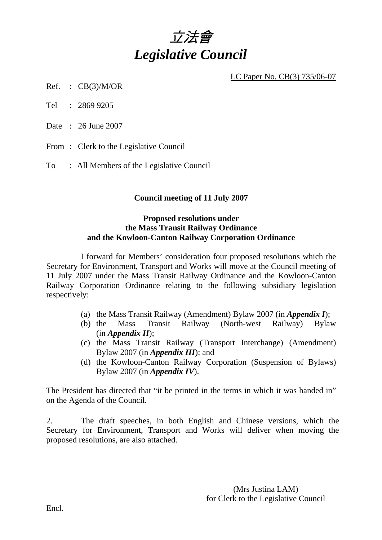

LC Paper No. CB(3) 735/06-07

 $Ref. : CB(3)/M/OR$ 

Tel : 2869 9205

Date : 26 June 2007

From: Clerk to the Legislative Council

To : All Members of the Legislative Council

# **Council meeting of 11 July 2007**

# **Proposed resolutions under the Mass Transit Railway Ordinance and the Kowloon-Canton Railway Corporation Ordinance**

 I forward for Members' consideration four proposed resolutions which the Secretary for Environment, Transport and Works will move at the Council meeting of 11 July 2007 under the Mass Transit Railway Ordinance and the Kowloon-Canton Railway Corporation Ordinance relating to the following subsidiary legislation respectively:

- (a) the Mass Transit Railway (Amendment) Bylaw 2007 (in *Appendix I*);
- (b) the Mass Transit Railway (North-west Railway) Bylaw (in *Appendix II*);
- (c) the Mass Transit Railway (Transport Interchange) (Amendment) Bylaw 2007 (in *Appendix III*); and
- (d) the Kowloon-Canton Railway Corporation (Suspension of Bylaws) Bylaw 2007 (in *Appendix IV*).

The President has directed that "it be printed in the terms in which it was handed in" on the Agenda of the Council.

2. The draft speeches, in both English and Chinese versions, which the Secretary for Environment, Transport and Works will deliver when moving the proposed resolutions, are also attached.

> (Mrs Justina LAM) for Clerk to the Legislative Council

Encl.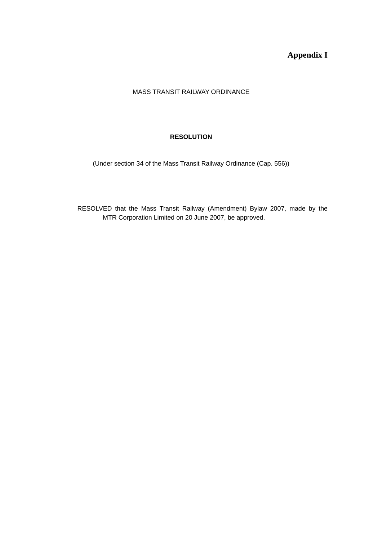**Appendix I** 

## MASS TRANSIT RAILWAY ORDINANCE

## **RESOLUTION**

(Under section 34 of the Mass Transit Railway Ordinance (Cap. 556))

RESOLVED that the Mass Transit Railway (Amendment) Bylaw 2007, made by the MTR Corporation Limited on 20 June 2007, be approved.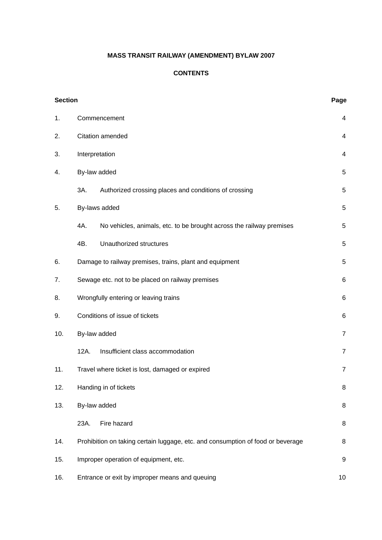# **MASS TRANSIT RAILWAY (AMENDMENT) BYLAW 2007**

## **CONTENTS**

| <b>Section</b> |                                                                                 | Page           |  |
|----------------|---------------------------------------------------------------------------------|----------------|--|
| 1.             | Commencement                                                                    |                |  |
| 2.             | Citation amended                                                                |                |  |
| 3.             | Interpretation                                                                  |                |  |
| 4.             | By-law added                                                                    |                |  |
|                | 3A.<br>Authorized crossing places and conditions of crossing                    | 5              |  |
| 5.             | By-laws added                                                                   |                |  |
|                | 4A.<br>No vehicles, animals, etc. to be brought across the railway premises     | 5              |  |
|                | 4B.<br>Unauthorized structures                                                  | 5              |  |
| 6.             | Damage to railway premises, trains, plant and equipment                         |                |  |
| 7.             | Sewage etc. not to be placed on railway premises<br>6                           |                |  |
| 8.             | Wrongfully entering or leaving trains<br>6                                      |                |  |
| 9.             | Conditions of issue of tickets<br>6                                             |                |  |
| 10.            | By-law added                                                                    |                |  |
|                | Insufficient class accommodation<br>12A.                                        | $\overline{7}$ |  |
| 11.            | Travel where ticket is lost, damaged or expired                                 | $\overline{7}$ |  |
| 12.            | Handing in of tickets<br>8                                                      |                |  |
| 13.            | By-law added                                                                    | 8              |  |
|                | 23A.<br>Fire hazard                                                             | 8              |  |
| 14.            | Prohibition on taking certain luggage, etc. and consumption of food or beverage | 8              |  |
| 15.            | Improper operation of equipment, etc.<br>9                                      |                |  |
| 16.            | Entrance or exit by improper means and queuing<br>10                            |                |  |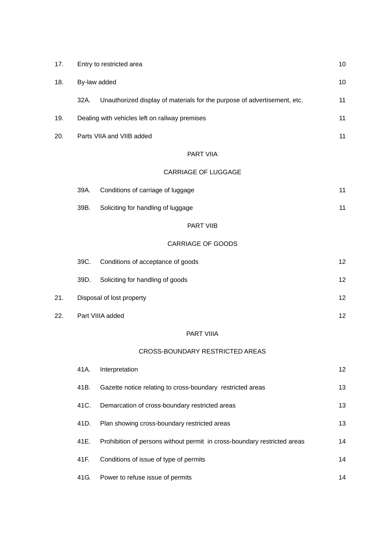| 17. |      | Entry to restricted area<br>10                                           |    |  |
|-----|------|--------------------------------------------------------------------------|----|--|
| 18. |      | By-law added                                                             |    |  |
|     | 32A. | Unauthorized display of materials for the purpose of advertisement, etc. | 11 |  |
| 19. |      | Dealing with vehicles left on railway premises                           | 11 |  |
| 20. |      | Parts VIIA and VIIB added                                                |    |  |
|     |      | PART VIIA                                                                |    |  |
|     |      | <b>CARRIAGE OF LUGGAGE</b>                                               |    |  |
|     | 39A. | Conditions of carriage of luggage                                        | 11 |  |
|     | 39B. | Soliciting for handling of luggage                                       | 11 |  |
|     |      | PART VIIB                                                                |    |  |
|     |      | <b>CARRIAGE OF GOODS</b>                                                 |    |  |
|     | 39C. | Conditions of acceptance of goods                                        | 12 |  |
|     | 39D. | Soliciting for handling of goods                                         | 12 |  |
| 21. |      | Disposal of lost property                                                | 12 |  |
| 22. |      | Part VIIIA added                                                         | 12 |  |
|     |      | <b>PART VIIIA</b>                                                        |    |  |
|     |      | <b>CROSS-BOUNDARY RESTRICTED AREAS</b>                                   |    |  |
|     | 41A. | Interpretation                                                           | 12 |  |
|     | 41B. | Gazette notice relating to cross-boundary restricted areas               | 13 |  |
|     | 41C. | Demarcation of cross-boundary restricted areas                           | 13 |  |
|     | 41D. | Plan showing cross-boundary restricted areas                             | 13 |  |
|     | 41E. | Prohibition of persons without permit in cross-boundary restricted areas | 14 |  |
|     | 41F. | Conditions of issue of type of permits                                   | 14 |  |

41G. Power to refuse issue of permits 14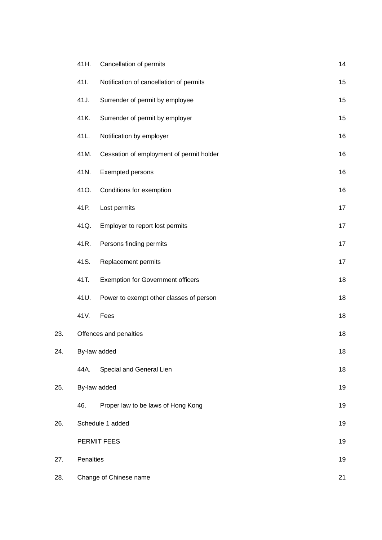|     | 41H.                   | Cancellation of permits                  | 14 |
|-----|------------------------|------------------------------------------|----|
|     | 41I.                   | Notification of cancellation of permits  | 15 |
|     | 41J.                   | Surrender of permit by employee          | 15 |
|     | 41K.                   | Surrender of permit by employer          | 15 |
|     | 41L.                   | Notification by employer                 | 16 |
|     | 41M.                   | Cessation of employment of permit holder | 16 |
|     | 41N.                   | Exempted persons                         | 16 |
|     | 41O.                   | Conditions for exemption                 | 16 |
|     | 41P.                   | Lost permits                             | 17 |
|     | 41Q.                   | Employer to report lost permits          | 17 |
|     | 41R.                   | Persons finding permits                  | 17 |
|     | 41S.                   | Replacement permits                      | 17 |
|     | 41T.                   | <b>Exemption for Government officers</b> | 18 |
|     | 41U.                   | Power to exempt other classes of person  | 18 |
|     | 41V.                   | Fees                                     | 18 |
| 23. | Offences and penalties |                                          | 18 |
| 24. | By-law added           |                                          | 18 |
|     | 44A.                   | Special and General Lien                 | 18 |
| 25. | By-law added           |                                          | 19 |
|     | 46.                    | Proper law to be laws of Hong Kong       | 19 |
| 26. | Schedule 1 added       |                                          | 19 |
|     |                        | PERMIT FEES                              | 19 |
| 27. | Penalties              |                                          | 19 |
| 28. | Change of Chinese name |                                          | 21 |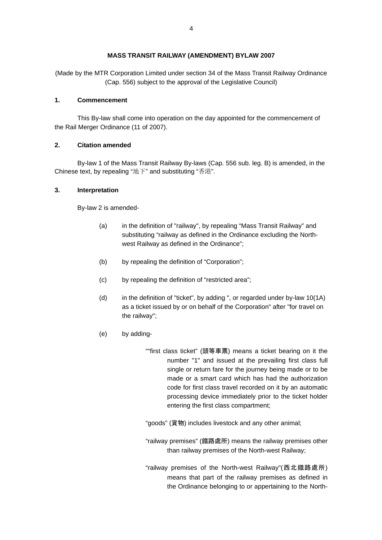#### **MASS TRANSIT RAILWAY (AMENDMENT) BYLAW 2007**

(Made by the MTR Corporation Limited under section 34 of the Mass Transit Railway Ordinance (Cap. 556) subject to the approval of the Legislative Council)

#### **1. Commencement**

This By-law shall come into operation on the day appointed for the commencement of the Rail Merger Ordinance (11 of 2007).

#### **2. Citation amended**

By-law 1 of the Mass Transit Railway By-laws (Cap. 556 sub. leg. B) is amended, in the Chinese text, by repealing "地下" and substituting "香港".

#### **3. Interpretation**

By-law 2 is amended-

- (a) in the definition of "railway", by repealing "Mass Transit Railway" and substituting "railway as defined in the Ordinance excluding the Northwest Railway as defined in the Ordinance";
- (b) by repealing the definition of "Corporation";
- (c) by repealing the definition of "restricted area";
- (d) in the definition of "ticket", by adding ", or regarded under by-law 10(1A) as a ticket issued by or on behalf of the Corporation" after "for travel on the railway";
- (e) by adding-

""first class ticket" (頭等車票) means a ticket bearing on it the number "1" and issued at the prevailing first class full single or return fare for the journey being made or to be made or a smart card which has had the authorization code for first class travel recorded on it by an automatic processing device immediately prior to the ticket holder entering the first class compartment;

"goods" (貨物) includes livestock and any other animal;

"railway premises" (鐵路處所) means the railway premises other than railway premises of the North-west Railway;

"railway premises of the North-west Railway"(西北鐵路處所) means that part of the railway premises as defined in the Ordinance belonging to or appertaining to the North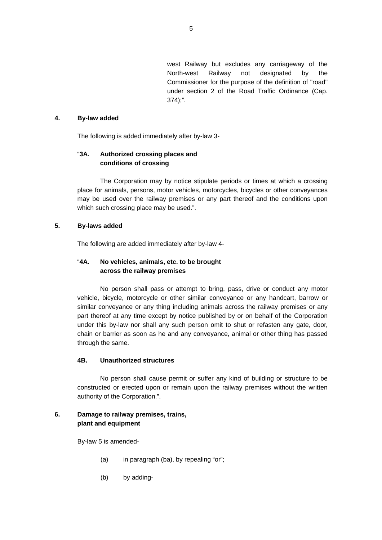west Railway but excludes any carriageway of the North-west Railway not designated by the Commissioner for the purpose of the definition of "road" under section 2 of the Road Traffic Ordinance (Cap. 374);".

#### **4. By-law added**

The following is added immediately after by-law 3-

## "**3A. Authorized crossing places and conditions of crossing**

The Corporation may by notice stipulate periods or times at which a crossing place for animals, persons, motor vehicles, motorcycles, bicycles or other conveyances may be used over the railway premises or any part thereof and the conditions upon which such crossing place may be used.".

#### **5. By-laws added**

The following are added immediately after by-law 4-

## "**4A. No vehicles, animals, etc. to be brought across the railway premises**

No person shall pass or attempt to bring, pass, drive or conduct any motor vehicle, bicycle, motorcycle or other similar conveyance or any handcart, barrow or similar conveyance or any thing including animals across the railway premises or any part thereof at any time except by notice published by or on behalf of the Corporation under this by-law nor shall any such person omit to shut or refasten any gate, door, chain or barrier as soon as he and any conveyance, animal or other thing has passed through the same.

#### **4B. Unauthorized structures**

No person shall cause permit or suffer any kind of building or structure to be constructed or erected upon or remain upon the railway premises without the written authority of the Corporation.".

#### **6. Damage to railway premises, trains, plant and equipment**

By-law 5 is amended-

- (a) in paragraph (ba), by repealing "or";
- (b) by adding-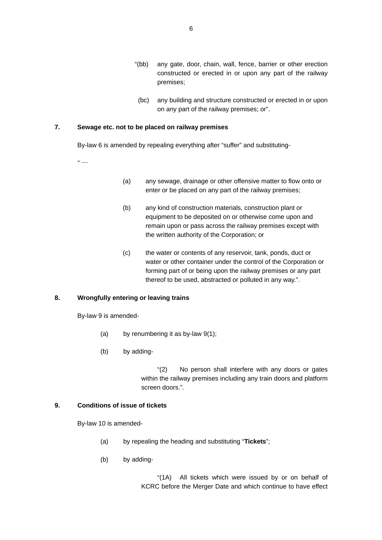- "(bb) any gate, door, chain, wall, fence, barrier or other erection constructed or erected in or upon any part of the railway premises;
- (bc) any building and structure constructed or erected in or upon on any part of the railway premises; or".

#### **7. Sewage etc. not to be placed on railway premises**

By-law 6 is amended by repealing everything after "suffer" and substituting-

 $\epsilon$ 

- (a) any sewage, drainage or other offensive matter to flow onto or enter or be placed on any part of the railway premises;
- (b) any kind of construction materials, construction plant or equipment to be deposited on or otherwise come upon and remain upon or pass across the railway premises except with the written authority of the Corporation; or
- (c) the water or contents of any reservoir, tank, ponds, duct or water or other container under the control of the Corporation or forming part of or being upon the railway premises or any part thereof to be used, abstracted or polluted in any way.".

## **8. Wrongfully entering or leaving trains**

By-law 9 is amended-

- (a) by renumbering it as by-law  $9(1)$ ;
- (b) by adding-

 "(2) No person shall interfere with any doors or gates within the railway premises including any train doors and platform screen doors.".

#### **9. Conditions of issue of tickets**

By-law 10 is amended-

- (a) by repealing the heading and substituting "**Tickets**";
- (b) by adding-

 "(1A) All tickets which were issued by or on behalf of KCRC before the Merger Date and which continue to have effect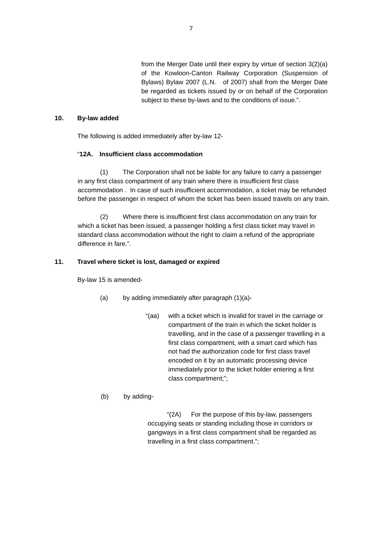from the Merger Date until their expiry by virtue of section 3(2)(a) of the Kowloon-Canton Railway Corporation (Suspension of Bylaws) Bylaw 2007 (L.N. of 2007) shall from the Merger Date be regarded as tickets issued by or on behalf of the Corporation subject to these by-laws and to the conditions of issue.".

#### **10. By-law added**

The following is added immediately after by-law 12-

#### "**12A. Insufficient class accommodation**

 (1) The Corporation shall not be liable for any failure to carry a passenger in any first class compartment of any train where there is insufficient first class accommodation . In case of such insufficient accommodation, a ticket may be refunded before the passenger in respect of whom the ticket has been issued travels on any train.

 (2) Where there is insufficient first class accommodation on any train for which a ticket has been issued, a passenger holding a first class ticket may travel in standard class accommodation without the right to claim a refund of the appropriate difference in fare.".

#### **11. Travel where ticket is lost, damaged or expired**

By-law 15 is amended-

- (a) by adding immediately after paragraph (1)(a)-
	- "(aa) with a ticket which is invalid for travel in the carriage or compartment of the train in which the ticket holder is travelling, and in the case of a passenger travelling in a first class compartment, with a smart card which has not had the authorization code for first class travel encoded on it by an automatic processing device immediately prior to the ticket holder entering a first class compartment;";

## (b) by adding-

"(2A) For the purpose of this by-law, passengers occupying seats or standing including those in corridors or gangways in a first class compartment shall be regarded as travelling in a first class compartment.";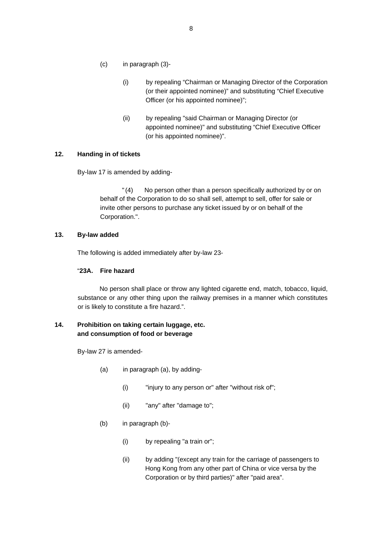- (c) in paragraph (3)-
	- (i) by repealing "Chairman or Managing Director of the Corporation (or their appointed nominee)" and substituting "Chief Executive Officer (or his appointed nominee)";
	- (ii) by repealing "said Chairman or Managing Director (or appointed nominee)" and substituting "Chief Executive Officer (or his appointed nominee)".

#### **12. Handing in of tickets**

By-law 17 is amended by adding-

"(4) No person other than a person specifically authorized by or on behalf of the Corporation to do so shall sell, attempt to sell, offer for sale or invite other persons to purchase any ticket issued by or on behalf of the Corporation.".

#### **13. By-law added**

The following is added immediately after by-law 23-

#### "**23A. Fire hazard**

No person shall place or throw any lighted cigarette end, match, tobacco, liquid, substance or any other thing upon the railway premises in a manner which constitutes or is likely to constitute a fire hazard.".

## **14. Prohibition on taking certain luggage, etc. and consumption of food or beverage**

By-law 27 is amended-

- (a) in paragraph (a), by adding-
	- (i) "injury to any person or" after "without risk of";
	- (ii) "any" after "damage to";
- (b) in paragraph (b)-
	- (i) by repealing "a train or";
	- (ii) by adding "(except any train for the carriage of passengers to Hong Kong from any other part of China or vice versa by the Corporation or by third parties)" after "paid area".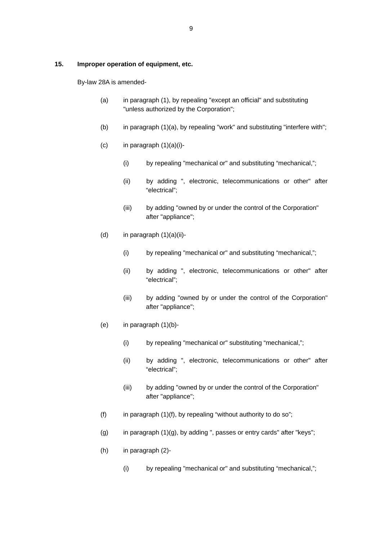#### **15. Improper operation of equipment, etc.**

By-law 28A is amended-

- (a) in paragraph (1), by repealing "except an official" and substituting "unless authorized by the Corporation";
- (b) in paragraph (1)(a), by repealing "work" and substituting "interfere with";
- $(c)$  in paragraph  $(1)(a)(i)$ -
	- (i) by repealing "mechanical or" and substituting "mechanical,";
	- (ii) by adding ", electronic, telecommunications or other" after "electrical";
	- (iii) by adding "owned by or under the control of the Corporation" after "appliance";
- (d) in paragraph  $(1)(a)(ii)$ -
	- (i) by repealing "mechanical or" and substituting "mechanical,";
	- (ii) by adding ", electronic, telecommunications or other" after "electrical";
	- (iii) by adding "owned by or under the control of the Corporation" after "appliance";
- (e) in paragraph (1)(b)-
	- (i) by repealing "mechanical or" substituting "mechanical,";
	- (ii) by adding ", electronic, telecommunications or other" after "electrical";
	- (iii) by adding "owned by or under the control of the Corporation" after "appliance";
- (f) in paragraph  $(1)(f)$ , by repealing "without authority to do so";
- (g) in paragraph  $(1)(g)$ , by adding ", passes or entry cards" after "keys";
- (h) in paragraph (2)-
	- (i) by repealing "mechanical or" and substituting "mechanical,";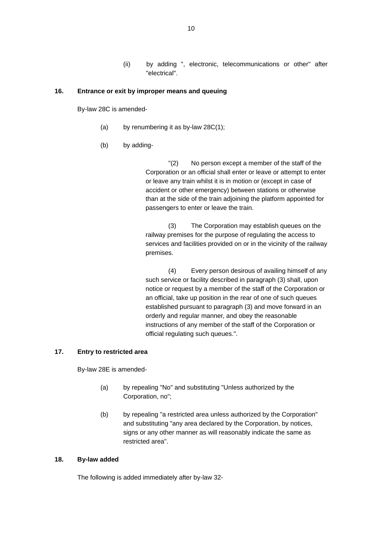(ii) by adding ", electronic, telecommunications or other" after "electrical".

#### **16. Entrance or exit by improper means and queuing**

By-law 28C is amended-

- (a) by renumbering it as by-law 28C(1);
- (b) by adding-

 "(2) No person except a member of the staff of the Corporation or an official shall enter or leave or attempt to enter or leave any train whilst it is in motion or (except in case of accident or other emergency) between stations or otherwise than at the side of the train adjoining the platform appointed for passengers to enter or leave the train.

 (3) The Corporation may establish queues on the railway premises for the purpose of regulating the access to services and facilities provided on or in the vicinity of the railway premises.

 (4) Every person desirous of availing himself of any such service or facility described in paragraph (3) shall, upon notice or request by a member of the staff of the Corporation or an official, take up position in the rear of one of such queues established pursuant to paragraph (3) and move forward in an orderly and regular manner, and obey the reasonable instructions of any member of the staff of the Corporation or official regulating such queues.".

#### **17. Entry to restricted area**

By-law 28E is amended-

- (a) by repealing "No" and substituting "Unless authorized by the Corporation, no";
- (b) by repealing "a restricted area unless authorized by the Corporation" and substituting "any area declared by the Corporation, by notices, signs or any other manner as will reasonably indicate the same as restricted area".

#### **18. By-law added**

The following is added immediately after by-law 32-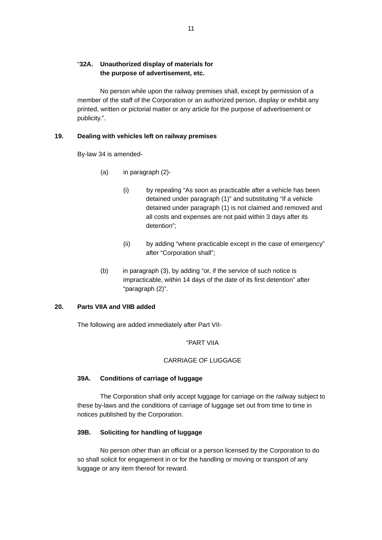## "**32A. Unauthorized display of materials for the purpose of advertisement, etc.**

 No person while upon the railway premises shall, except by permission of a member of the staff of the Corporation or an authorized person, display or exhibit any printed, written or pictorial matter or any article for the purpose of advertisement or publicity.".

#### **19. Dealing with vehicles left on railway premises**

By-law 34 is amended-

- (a) in paragraph (2)-
	- (i) by repealing "As soon as practicable after a vehicle has been detained under paragraph (1)" and substituting "If a vehicle detained under paragraph (1) is not claimed and removed and all costs and expenses are not paid within 3 days after its detention";
	- (ii) by adding "where practicable except in the case of emergency" after "Corporation shall";
- (b) in paragraph (3), by adding "or, if the service of such notice is impracticable, within 14 days of the date of its first detention" after "paragraph (2)".

## **20. Parts VIIA and VIIB added**

The following are added immediately after Part VII-

#### "PART VIIA

#### CARRIAGE OF LUGGAGE

#### **39A. Conditions of carriage of luggage**

 The Corporation shall only accept luggage for carriage on the railway subject to these by-laws and the conditions of carriage of luggage set out from time to time in notices published by the Corporation.

## **39B. Soliciting for handling of luggage**

 No person other than an official or a person licensed by the Corporation to do so shall solicit for engagement in or for the handling or moving or transport of any luggage or any item thereof for reward.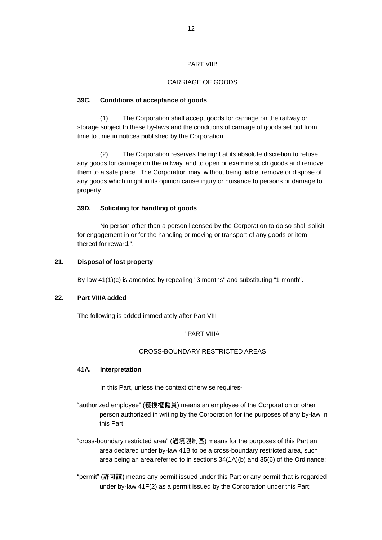#### PART VIIB

#### CARRIAGE OF GOODS

#### **39C. Conditions of acceptance of goods**

 (1) The Corporation shall accept goods for carriage on the railway or storage subject to these by-laws and the conditions of carriage of goods set out from time to time in notices published by the Corporation.

 (2) The Corporation reserves the right at its absolute discretion to refuse any goods for carriage on the railway, and to open or examine such goods and remove them to a safe place. The Corporation may, without being liable, remove or dispose of any goods which might in its opinion cause injury or nuisance to persons or damage to property.

## **39D. Soliciting for handling of goods**

No person other than a person licensed by the Corporation to do so shall solicit for engagement in or for the handling or moving or transport of any goods or item thereof for reward.".

#### **21. Disposal of lost property**

By-law 41(1)(c) is amended by repealing "3 months" and substituting "1 month".

#### **22. Part VIIIA added**

The following is added immediately after Part VIII-

#### "PART VIIIA

#### CROSS-BOUNDARY RESTRICTED AREAS

#### **41A. Interpretation**

In this Part, unless the context otherwise requires-

- "authorized employee" (獲授權僱員) means an employee of the Corporation or other person authorized in writing by the Corporation for the purposes of any by-law in this Part;
- "cross-boundary restricted area" (過境限制區) means for the purposes of this Part an area declared under by-law 41B to be a cross-boundary restricted area, such area being an area referred to in sections 34(1A)(b) and 35(6) of the Ordinance;
- "permit" (許可證) means any permit issued under this Part or any permit that is regarded under by-law 41F(2) as a permit issued by the Corporation under this Part;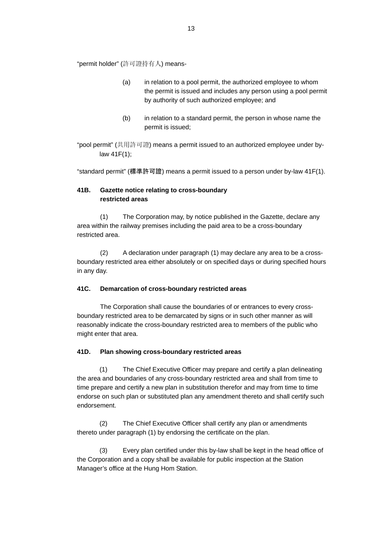"permit holder" (許可證持有人) means-

- (a) in relation to a pool permit, the authorized employee to whom the permit is issued and includes any person using a pool permit by authority of such authorized employee; and
- $(b)$  in relation to a standard permit, the person in whose name the permit is issued;
- "pool permit" (共用許可證) means a permit issued to an authorized employee under bylaw 41F(1);

"standard permit" (標準許可證) means a permit issued to a person under by-law 41F(1).

## **41B. Gazette notice relating to cross-boundary restricted areas**

 (1) The Corporation may, by notice published in the Gazette, declare any area within the railway premises including the paid area to be a cross-boundary restricted area.

 (2) A declaration under paragraph (1) may declare any area to be a crossboundary restricted area either absolutely or on specified days or during specified hours in any day.

## **41C. Demarcation of cross-boundary restricted areas**

The Corporation shall cause the boundaries of or entrances to every crossboundary restricted area to be demarcated by signs or in such other manner as will reasonably indicate the cross-boundary restricted area to members of the public who might enter that area.

## **41D. Plan showing cross-boundary restricted areas**

(1) The Chief Executive Officer may prepare and certify a plan delineating the area and boundaries of any cross-boundary restricted area and shall from time to time prepare and certify a new plan in substitution therefor and may from time to time endorse on such plan or substituted plan any amendment thereto and shall certify such endorsement.

(2) The Chief Executive Officer shall certify any plan or amendments thereto under paragraph (1) by endorsing the certificate on the plan.

(3) Every plan certified under this by-law shall be kept in the head office of the Corporation and a copy shall be available for public inspection at the Station Manager's office at the Hung Hom Station.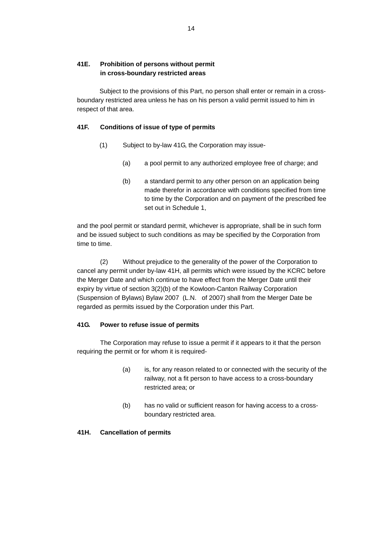## **41E. Prohibition of persons without permit in cross-boundary restricted areas**

Subject to the provisions of this Part, no person shall enter or remain in a crossboundary restricted area unless he has on his person a valid permit issued to him in respect of that area.

## **41F. Conditions of issue of type of permits**

- (1) Subject to by-law 41G, the Corporation may issue-
	- (a) a pool permit to any authorized employee free of charge; and
	- (b) a standard permit to any other person on an application being made therefor in accordance with conditions specified from time to time by the Corporation and on payment of the prescribed fee set out in Schedule 1,

and the pool permit or standard permit, whichever is appropriate, shall be in such form and be issued subject to such conditions as may be specified by the Corporation from time to time.

(2) Without prejudice to the generality of the power of the Corporation to cancel any permit under by-law 41H, all permits which were issued by the KCRC before the Merger Date and which continue to have effect from the Merger Date until their expiry by virtue of section 3(2)(b) of the Kowloon-Canton Railway Corporation (Suspension of Bylaws) Bylaw 2007 (L.N. of 2007) shall from the Merger Date be regarded as permits issued by the Corporation under this Part.

#### **41G. Power to refuse issue of permits**

The Corporation may refuse to issue a permit if it appears to it that the person requiring the permit or for whom it is required-

- (a) is, for any reason related to or connected with the security of the railway, not a fit person to have access to a cross-boundary restricted area; or
- (b) has no valid or sufficient reason for having access to a crossboundary restricted area.

#### **41H. Cancellation of permits**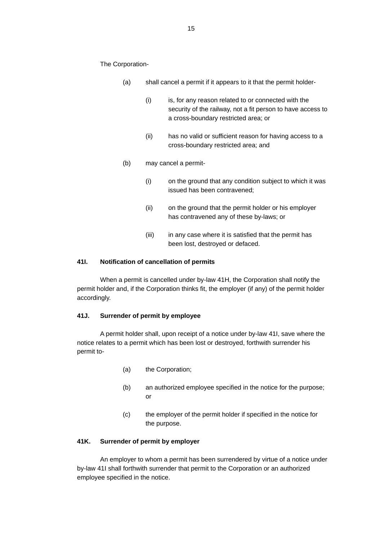The Corporation-

- (a) shall cancel a permit if it appears to it that the permit holder-
	- (i) is, for any reason related to or connected with the security of the railway, not a fit person to have access to a cross-boundary restricted area; or
	- (ii) has no valid or sufficient reason for having access to a cross-boundary restricted area; and
- (b) may cancel a permit-
	- (i) on the ground that any condition subject to which it was issued has been contravened;
	- (ii) on the ground that the permit holder or his employer has contravened any of these by-laws; or
	- (iii) in any case where it is satisfied that the permit has been lost, destroyed or defaced.

#### **41I. Notification of cancellation of permits**

When a permit is cancelled under by-law 41H, the Corporation shall notify the permit holder and, if the Corporation thinks fit, the employer (if any) of the permit holder accordingly.

#### **41J. Surrender of permit by employee**

A permit holder shall, upon receipt of a notice under by-law 41I, save where the notice relates to a permit which has been lost or destroyed, forthwith surrender his permit to-

- (a) the Corporation;
- (b) an authorized employee specified in the notice for the purpose; or
- (c) the employer of the permit holder if specified in the notice for the purpose.

## **41K. Surrender of permit by employer**

An employer to whom a permit has been surrendered by virtue of a notice under by-law 41I shall forthwith surrender that permit to the Corporation or an authorized employee specified in the notice.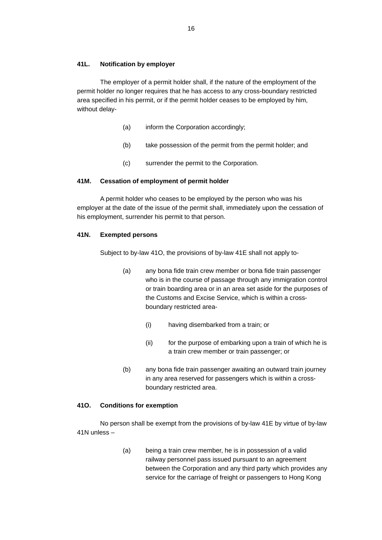#### **41L. Notification by employer**

The employer of a permit holder shall, if the nature of the employment of the permit holder no longer requires that he has access to any cross-boundary restricted area specified in his permit, or if the permit holder ceases to be employed by him, without delay-

- (a) inform the Corporation accordingly;
- (b) take possession of the permit from the permit holder; and
- (c) surrender the permit to the Corporation.

#### **41M. Cessation of employment of permit holder**

A permit holder who ceases to be employed by the person who was his employer at the date of the issue of the permit shall, immediately upon the cessation of his employment, surrender his permit to that person.

#### **41N. Exempted persons**

Subject to by-law 41O, the provisions of by-law 41E shall not apply to-

- (a) any bona fide train crew member or bona fide train passenger who is in the course of passage through any immigration control or train boarding area or in an area set aside for the purposes of the Customs and Excise Service, which is within a crossboundary restricted area-
	- (i) having disembarked from a train; or
	- (ii) for the purpose of embarking upon a train of which he is a train crew member or train passenger; or
- (b) any bona fide train passenger awaiting an outward train journey in any area reserved for passengers which is within a crossboundary restricted area.

## **41O. Conditions for exemption**

No person shall be exempt from the provisions of by-law 41E by virtue of by-law 41N unless –

> (a) being a train crew member, he is in possession of a valid railway personnel pass issued pursuant to an agreement between the Corporation and any third party which provides any service for the carriage of freight or passengers to Hong Kong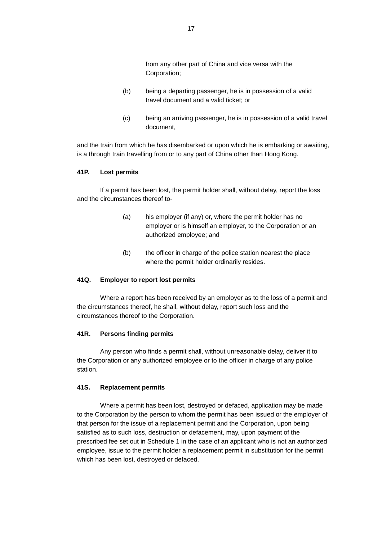from any other part of China and vice versa with the Corporation;

- (b) being a departing passenger, he is in possession of a valid travel document and a valid ticket; or
- (c) being an arriving passenger, he is in possession of a valid travel document,

and the train from which he has disembarked or upon which he is embarking or awaiting, is a through train travelling from or to any part of China other than Hong Kong.

#### **41P. Lost permits**

If a permit has been lost, the permit holder shall, without delay, report the loss and the circumstances thereof to-

- (a) his employer (if any) or, where the permit holder has no employer or is himself an employer, to the Corporation or an authorized employee; and
- (b) the officer in charge of the police station nearest the place where the permit holder ordinarily resides.

#### **41Q. Employer to report lost permits**

Where a report has been received by an employer as to the loss of a permit and the circumstances thereof, he shall, without delay, report such loss and the circumstances thereof to the Corporation.

#### **41R. Persons finding permits**

Any person who finds a permit shall, without unreasonable delay, deliver it to the Corporation or any authorized employee or to the officer in charge of any police station.

#### **41S. Replacement permits**

Where a permit has been lost, destroyed or defaced, application may be made to the Corporation by the person to whom the permit has been issued or the employer of that person for the issue of a replacement permit and the Corporation, upon being satisfied as to such loss, destruction or defacement, may, upon payment of the prescribed fee set out in Schedule 1 in the case of an applicant who is not an authorized employee, issue to the permit holder a replacement permit in substitution for the permit which has been lost, destroyed or defaced.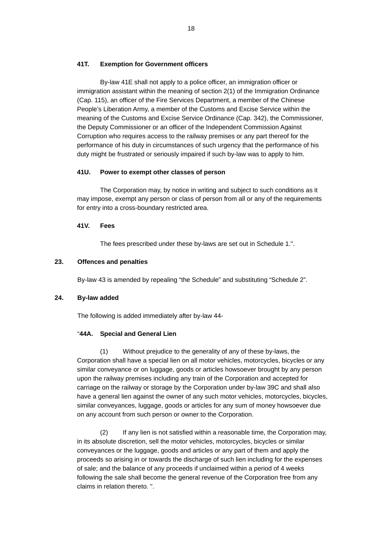## **41T. Exemption for Government officers**

By-law 41E shall not apply to a police officer, an immigration officer or immigration assistant within the meaning of section 2(1) of the Immigration Ordinance (Cap. 115), an officer of the Fire Services Department, a member of the Chinese People's Liberation Army, a member of the Customs and Excise Service within the meaning of the Customs and Excise Service Ordinance (Cap. 342), the Commissioner, the Deputy Commissioner or an officer of the Independent Commission Against Corruption who requires access to the railway premises or any part thereof for the performance of his duty in circumstances of such urgency that the performance of his duty might be frustrated or seriously impaired if such by-law was to apply to him.

#### **41U. Power to exempt other classes of person**

The Corporation may, by notice in writing and subject to such conditions as it may impose, exempt any person or class of person from all or any of the requirements for entry into a cross-boundary restricted area.

#### **41V. Fees**

The fees prescribed under these by-laws are set out in Schedule 1.".

#### **23. Offences and penalties**

By-law 43 is amended by repealing "the Schedule" and substituting "Schedule 2".

#### **24. By-law added**

The following is added immediately after by-law 44-

#### "**44A. Special and General Lien**

(1) Without prejudice to the generality of any of these by-laws, the Corporation shall have a special lien on all motor vehicles, motorcycles, bicycles or any similar conveyance or on luggage, goods or articles howsoever brought by any person upon the railway premises including any train of the Corporation and accepted for carriage on the railway or storage by the Corporation under by-law 39C and shall also have a general lien against the owner of any such motor vehicles, motorcycles, bicycles, similar conveyances, luggage, goods or articles for any sum of money howsoever due on any account from such person or owner to the Corporation.

(2) If any lien is not satisfied within a reasonable time, the Corporation may, in its absolute discretion, sell the motor vehicles, motorcycles, bicycles or similar conveyances or the luggage, goods and articles or any part of them and apply the proceeds so arising in or towards the discharge of such lien including for the expenses of sale; and the balance of any proceeds if unclaimed within a period of 4 weeks following the sale shall become the general revenue of the Corporation free from any claims in relation thereto. ".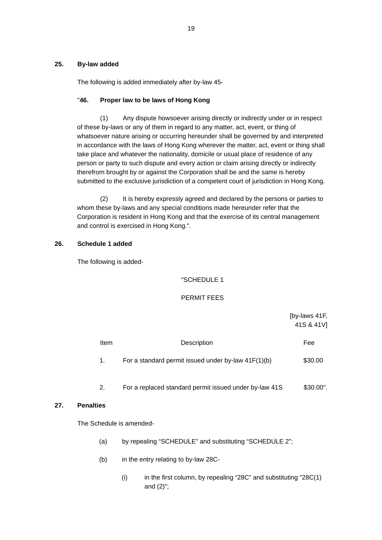#### **25. By-law added**

The following is added immediately after by-law 45-

#### "**46. Proper law to be laws of Hong Kong**

(1) Any dispute howsoever arising directly or indirectly under or in respect of these by-laws or any of them in regard to any matter, act, event, or thing of whatsoever nature arising or occurring hereunder shall be governed by and interpreted in accordance with the laws of Hong Kong wherever the matter, act, event or thing shall take place and whatever the nationality, domicile or usual place of residence of any person or party to such dispute and every action or claim arising directly or indirectly therefrom brought by or against the Corporation shall be and the same is hereby submitted to the exclusive jurisdiction of a competent court of jurisdiction in Hong Kong.

(2) It is hereby expressly agreed and declared by the persons or parties to whom these by-laws and any special conditions made hereunder refer that the Corporation is resident in Hong Kong and that the exercise of its central management and control is exercised in Hong Kong.".

#### **26. Schedule 1 added**

The following is added-

#### "SCHEDULE 1

#### PERMIT FEES

 [by-laws 41F, 41S & 41V] **Item Contract Description Contract Contract Pressure Contract Pressure Contract Pressure Contract Pressure Contract Pressure Contract Pressure Contract Pressure Contract Pressure Contract Pressure Contract Pressure Contra** 1. For a standard permit issued under by-law  $41F(1)(b)$  \$30.00

## 2. For a replaced standard permit issued under by-law 41S \$30.00".

#### **27. Penalties**

The Schedule is amended-

- (a) by repealing "SCHEDULE" and substituting "SCHEDULE 2";
- (b) in the entry relating to by-law 28C-
	- $(i)$  in the first column, by repealing "28C" and substituting "28C $(1)$ and (2)";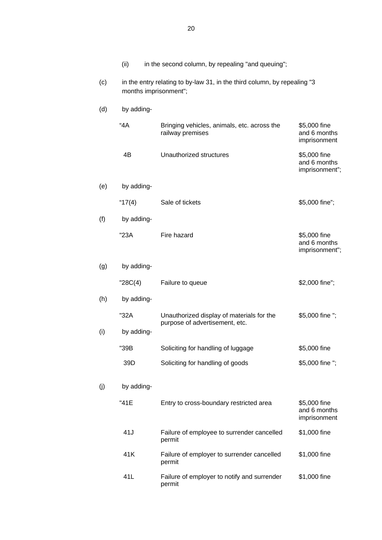|     | (ii)                                                                                              | in the second column, by repealing "and queuing";                           |                                                |  |  |
|-----|---------------------------------------------------------------------------------------------------|-----------------------------------------------------------------------------|------------------------------------------------|--|--|
| (c) | in the entry relating to by-law 31, in the third column, by repealing "3<br>months imprisonment"; |                                                                             |                                                |  |  |
| (d) | by adding-                                                                                        |                                                                             |                                                |  |  |
|     | 4A                                                                                                | Bringing vehicles, animals, etc. across the<br>railway premises             | \$5,000 fine<br>and 6 months<br>imprisonment   |  |  |
|     | 4B                                                                                                | Unauthorized structures                                                     | \$5,000 fine<br>and 6 months<br>imprisonment"; |  |  |
| (e) | by adding-                                                                                        |                                                                             |                                                |  |  |
|     | " $17(4)$                                                                                         | Sale of tickets                                                             | \$5,000 fine";                                 |  |  |
| (f) | by adding-                                                                                        |                                                                             |                                                |  |  |
|     | "23A                                                                                              | Fire hazard                                                                 | \$5,000 fine<br>and 6 months<br>imprisonment"; |  |  |
| (g) | by adding-                                                                                        |                                                                             |                                                |  |  |
|     | "28C(4)                                                                                           | Failure to queue                                                            | \$2,000 fine";                                 |  |  |
| (h) | by adding-                                                                                        |                                                                             |                                                |  |  |
|     | "32A<br>by adding-                                                                                | Unauthorized display of materials for the<br>purpose of advertisement, etc. | \$5,000 fine ";                                |  |  |
| (i) |                                                                                                   |                                                                             |                                                |  |  |
|     | "39B<br>39D                                                                                       | Soliciting for handling of luggage                                          | \$5,000 fine                                   |  |  |
|     |                                                                                                   | Soliciting for handling of goods                                            | \$5,000 fine ";                                |  |  |
| (j) | by adding-                                                                                        |                                                                             |                                                |  |  |
|     | "41E                                                                                              | Entry to cross-boundary restricted area                                     | \$5,000 fine<br>and 6 months<br>imprisonment   |  |  |
|     | 41J                                                                                               | Failure of employee to surrender cancelled<br>permit                        | \$1,000 fine                                   |  |  |
|     | 41K                                                                                               | Failure of employer to surrender cancelled<br>permit                        | \$1,000 fine                                   |  |  |
|     | 41L                                                                                               | Failure of employer to notify and surrender                                 | \$1,000 fine                                   |  |  |

permit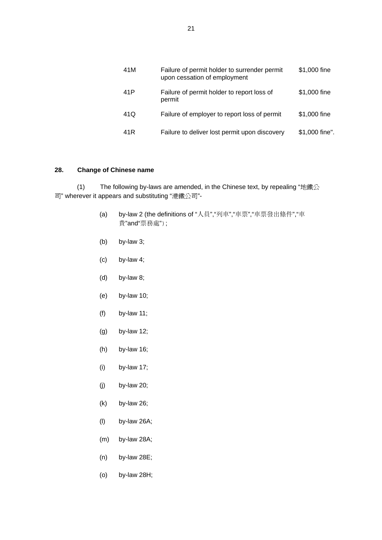| 41M | Failure of permit holder to surrender permit<br>upon cessation of employment | \$1,000 fine   |
|-----|------------------------------------------------------------------------------|----------------|
| 41P | Failure of permit holder to report loss of<br>permit                         | \$1,000 fine   |
| 41Q | Failure of employer to report loss of permit                                 | \$1,000 fine   |
| 41R | Failure to deliver lost permit upon discovery                                | \$1,000 fine". |

#### **28. Change of Chinese name**

(1) The following by-laws are amended, in the Chinese text, by repealing "地鐵公 司" wherever it appears and substituting "港鐵公司"-

- (a) by-law 2 (the definitions of "人員","列車","車票","車票發出條件","車 費"and"票務處");
- (b) by-law 3;
- $(c)$  by-law 4;
- (d) by-law 8;
- (e) by-law 10;
- (f) by-law 11;
- (g) by-law 12;
- (h) by-law 16;
- (i) by-law 17;
- (j) by-law 20;
- (k) by-law 26;
- (l) by-law 26A;
- (m) by-law 28A;
- (n) by-law 28E;
- (o) by-law 28H;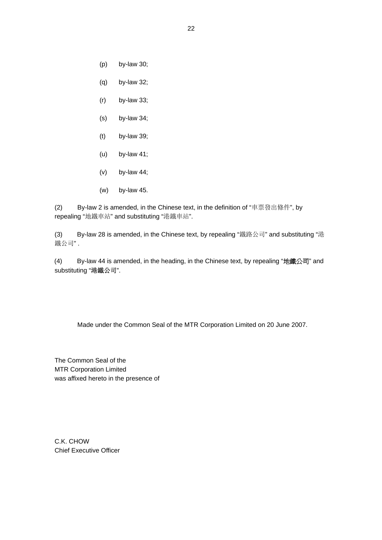- (p) by-law 30;
- (q) by-law 32;
- (r) by-law 33;
- (s) by-law 34;
- (t) by-law 39;
- (u) by-law 41;
- (v) by-law 44;
- (w) by-law 45.

(2) By-law 2 is amended, in the Chinese text, in the definition of "車票發出條件", by repealing "地鐵車站" and substituting "港鐵車站".

(3) By-law 28 is amended, in the Chinese text, by repealing "鐵路公司" and substituting "港 鐵公司" .

(4) By-law 44 is amended, in the heading, in the Chinese text, by repealing "地鐵公司" and substituting "港鐵公司".

Made under the Common Seal of the MTR Corporation Limited on 20 June 2007.

The Common Seal of the MTR Corporation Limited was affixed hereto in the presence of

C.K. CHOW Chief Executive Officer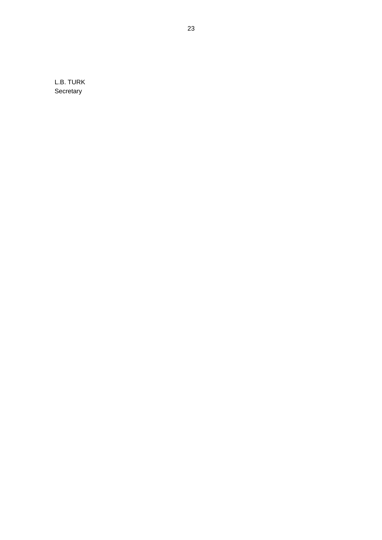L.B. TURK **Secretary**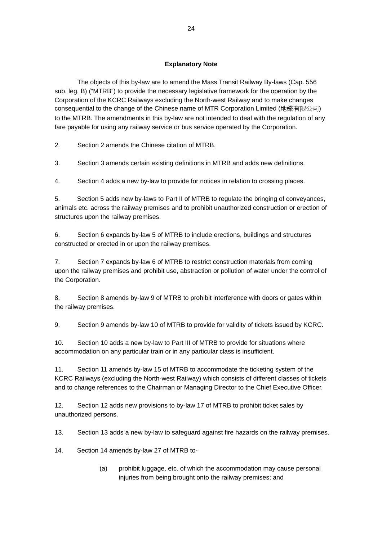## **Explanatory Note**

 The objects of this by-law are to amend the Mass Transit Railway By-laws (Cap. 556 sub. leg. B) ("MTRB") to provide the necessary legislative framework for the operation by the Corporation of the KCRC Railways excluding the North-west Railway and to make changes consequential to the change of the Chinese name of MTR Corporation Limited (地鐵有限公司) to the MTRB. The amendments in this by-law are not intended to deal with the regulation of any fare payable for using any railway service or bus service operated by the Corporation.

2. Section 2 amends the Chinese citation of MTRB.

3. Section 3 amends certain existing definitions in MTRB and adds new definitions.

4. Section 4 adds a new by-law to provide for notices in relation to crossing places.

5. Section 5 adds new by-laws to Part II of MTRB to regulate the bringing of conveyances, animals etc. across the railway premises and to prohibit unauthorized construction or erection of structures upon the railway premises.

6. Section 6 expands by-law 5 of MTRB to include erections, buildings and structures constructed or erected in or upon the railway premises.

7. Section 7 expands by-law 6 of MTRB to restrict construction materials from coming upon the railway premises and prohibit use, abstraction or pollution of water under the control of the Corporation.

8. Section 8 amends by-law 9 of MTRB to prohibit interference with doors or gates within the railway premises.

9. Section 9 amends by-law 10 of MTRB to provide for validity of tickets issued by KCRC.

10. Section 10 adds a new by-law to Part III of MTRB to provide for situations where accommodation on any particular train or in any particular class is insufficient.

11. Section 11 amends by-law 15 of MTRB to accommodate the ticketing system of the KCRC Railways (excluding the North-west Railway) which consists of different classes of tickets and to change references to the Chairman or Managing Director to the Chief Executive Officer.

12. Section 12 adds new provisions to by-law 17 of MTRB to prohibit ticket sales by unauthorized persons.

13. Section 13 adds a new by-law to safeguard against fire hazards on the railway premises.

14. Section 14 amends by-law 27 of MTRB to-

(a) prohibit luggage, etc. of which the accommodation may cause personal injuries from being brought onto the railway premises; and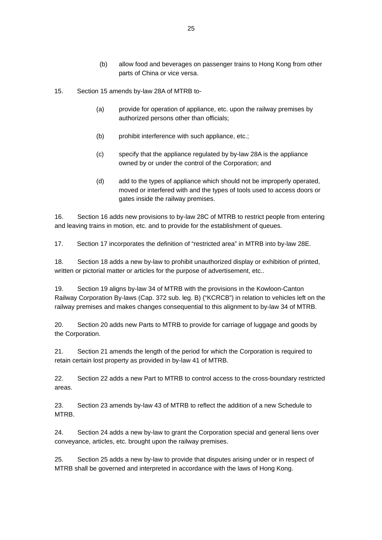- (b) allow food and beverages on passenger trains to Hong Kong from other parts of China or vice versa.
- 15. Section 15 amends by-law 28A of MTRB to-
	- (a) provide for operation of appliance, etc. upon the railway premises by authorized persons other than officials;
	- (b) prohibit interference with such appliance, etc.;
	- (c) specify that the appliance regulated by by-law 28A is the appliance owned by or under the control of the Corporation; and
	- (d) add to the types of appliance which should not be improperly operated, moved or interfered with and the types of tools used to access doors or gates inside the railway premises.

16. Section 16 adds new provisions to by-law 28C of MTRB to restrict people from entering and leaving trains in motion, etc. and to provide for the establishment of queues.

17. Section 17 incorporates the definition of "restricted area" in MTRB into by-law 28E.

18. Section 18 adds a new by-law to prohibit unauthorized display or exhibition of printed, written or pictorial matter or articles for the purpose of advertisement, etc..

19. Section 19 aligns by-law 34 of MTRB with the provisions in the Kowloon-Canton Railway Corporation By-laws (Cap. 372 sub. leg. B) ("KCRCB") in relation to vehicles left on the railway premises and makes changes consequential to this alignment to by-law 34 of MTRB.

20. Section 20 adds new Parts to MTRB to provide for carriage of luggage and goods by the Corporation.

21. Section 21 amends the length of the period for which the Corporation is required to retain certain lost property as provided in by-law 41 of MTRB.

22. Section 22 adds a new Part to MTRB to control access to the cross-boundary restricted areas.

23. Section 23 amends by-law 43 of MTRB to reflect the addition of a new Schedule to MTRB.

24. Section 24 adds a new by-law to grant the Corporation special and general liens over conveyance, articles, etc. brought upon the railway premises.

25. Section 25 adds a new by-law to provide that disputes arising under or in respect of MTRB shall be governed and interpreted in accordance with the laws of Hong Kong.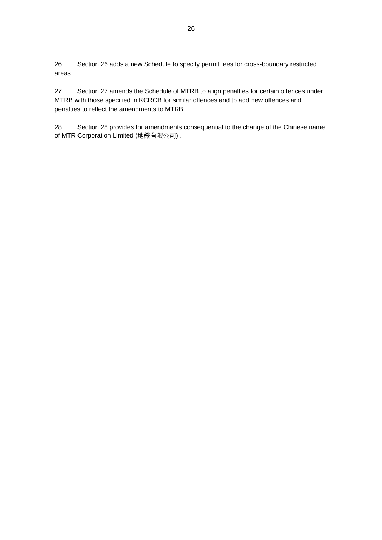26. Section 26 adds a new Schedule to specify permit fees for cross-boundary restricted areas.

27. Section 27 amends the Schedule of MTRB to align penalties for certain offences under MTRB with those specified in KCRCB for similar offences and to add new offences and penalties to reflect the amendments to MTRB.

28. Section 28 provides for amendments consequential to the change of the Chinese name of MTR Corporation Limited (地鐵有限公司) .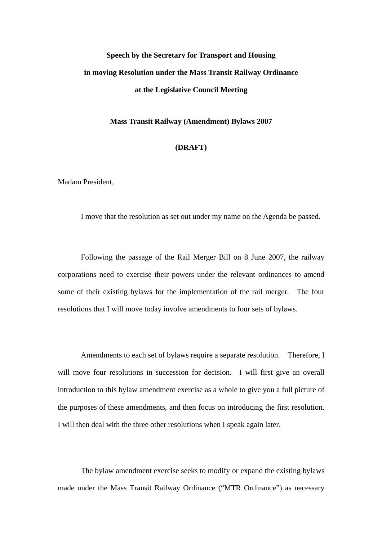# **Speech by the Secretary for Transport and Housing in moving Resolution under the Mass Transit Railway Ordinance at the Legislative Council Meeting**

#### **Mass Transit Railway (Amendment) Bylaws 2007**

## **(DRAFT)**

Madam President,

I move that the resolution as set out under my name on the Agenda be passed.

Following the passage of the Rail Merger Bill on 8 June 2007, the railway corporations need to exercise their powers under the relevant ordinances to amend some of their existing bylaws for the implementation of the rail merger. The four resolutions that I will move today involve amendments to four sets of bylaws.

Amendments to each set of bylaws require a separate resolution. Therefore, I will move four resolutions in succession for decision. I will first give an overall introduction to this bylaw amendment exercise as a whole to give you a full picture of the purposes of these amendments, and then focus on introducing the first resolution. I will then deal with the three other resolutions when I speak again later.

The bylaw amendment exercise seeks to modify or expand the existing bylaws made under the Mass Transit Railway Ordinance ("MTR Ordinance") as necessary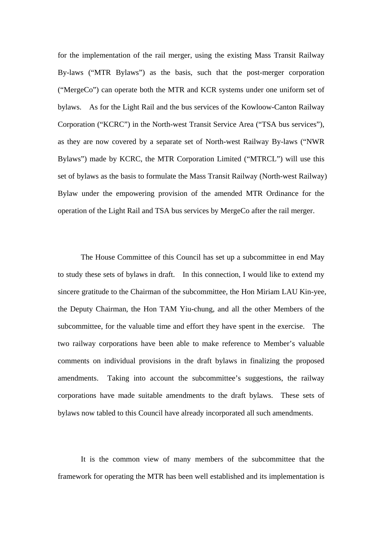for the implementation of the rail merger, using the existing Mass Transit Railway By-laws ("MTR Bylaws") as the basis, such that the post-merger corporation ("MergeCo") can operate both the MTR and KCR systems under one uniform set of bylaws. As for the Light Rail and the bus services of the Kowloow-Canton Railway Corporation ("KCRC") in the North-west Transit Service Area ("TSA bus services"), as they are now covered by a separate set of North-west Railway By-laws ("NWR Bylaws") made by KCRC, the MTR Corporation Limited ("MTRCL") will use this set of bylaws as the basis to formulate the Mass Transit Railway (North-west Railway) Bylaw under the empowering provision of the amended MTR Ordinance for the operation of the Light Rail and TSA bus services by MergeCo after the rail merger.

The House Committee of this Council has set up a subcommittee in end May to study these sets of bylaws in draft. In this connection, I would like to extend my sincere gratitude to the Chairman of the subcommittee, the Hon Miriam LAU Kin-yee, the Deputy Chairman, the Hon TAM Yiu-chung, and all the other Members of the subcommittee, for the valuable time and effort they have spent in the exercise. The two railway corporations have been able to make reference to Member's valuable comments on individual provisions in the draft bylaws in finalizing the proposed amendments. Taking into account the subcommittee's suggestions, the railway corporations have made suitable amendments to the draft bylaws. These sets of bylaws now tabled to this Council have already incorporated all such amendments.

It is the common view of many members of the subcommittee that the framework for operating the MTR has been well established and its implementation is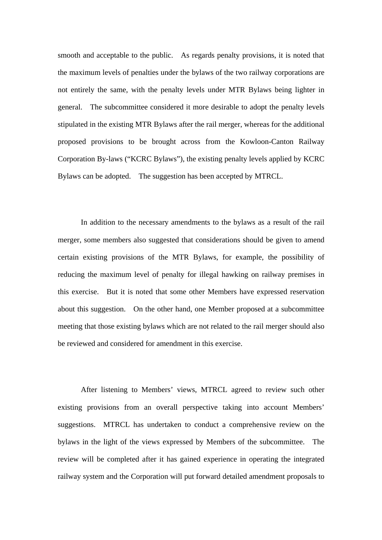smooth and acceptable to the public. As regards penalty provisions, it is noted that the maximum levels of penalties under the bylaws of the two railway corporations are not entirely the same, with the penalty levels under MTR Bylaws being lighter in general. The subcommittee considered it more desirable to adopt the penalty levels stipulated in the existing MTR Bylaws after the rail merger, whereas for the additional proposed provisions to be brought across from the Kowloon-Canton Railway Corporation By-laws ("KCRC Bylaws"), the existing penalty levels applied by KCRC Bylaws can be adopted. The suggestion has been accepted by MTRCL.

In addition to the necessary amendments to the bylaws as a result of the rail merger, some members also suggested that considerations should be given to amend certain existing provisions of the MTR Bylaws, for example, the possibility of reducing the maximum level of penalty for illegal hawking on railway premises in this exercise. But it is noted that some other Members have expressed reservation about this suggestion. On the other hand, one Member proposed at a subcommittee meeting that those existing bylaws which are not related to the rail merger should also be reviewed and considered for amendment in this exercise.

After listening to Members' views, MTRCL agreed to review such other existing provisions from an overall perspective taking into account Members' suggestions. MTRCL has undertaken to conduct a comprehensive review on the bylaws in the light of the views expressed by Members of the subcommittee. The review will be completed after it has gained experience in operating the integrated railway system and the Corporation will put forward detailed amendment proposals to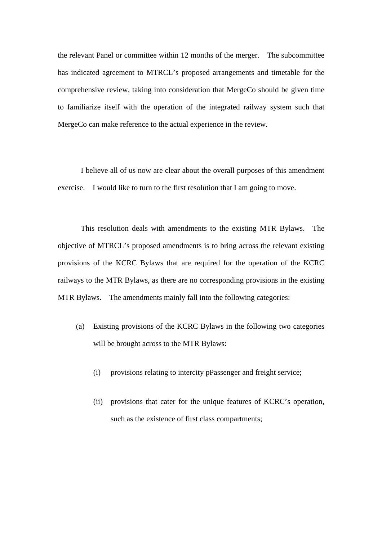the relevant Panel or committee within 12 months of the merger. The subcommittee has indicated agreement to MTRCL's proposed arrangements and timetable for the comprehensive review, taking into consideration that MergeCo should be given time to familiarize itself with the operation of the integrated railway system such that MergeCo can make reference to the actual experience in the review.

I believe all of us now are clear about the overall purposes of this amendment exercise. I would like to turn to the first resolution that I am going to move.

This resolution deals with amendments to the existing MTR Bylaws. The objective of MTRCL's proposed amendments is to bring across the relevant existing provisions of the KCRC Bylaws that are required for the operation of the KCRC railways to the MTR Bylaws, as there are no corresponding provisions in the existing MTR Bylaws. The amendments mainly fall into the following categories:

- (a) Existing provisions of the KCRC Bylaws in the following two categories will be brought across to the MTR Bylaws:
	- (i) provisions relating to intercity pPassenger and freight service;
	- (ii) provisions that cater for the unique features of KCRC's operation, such as the existence of first class compartments;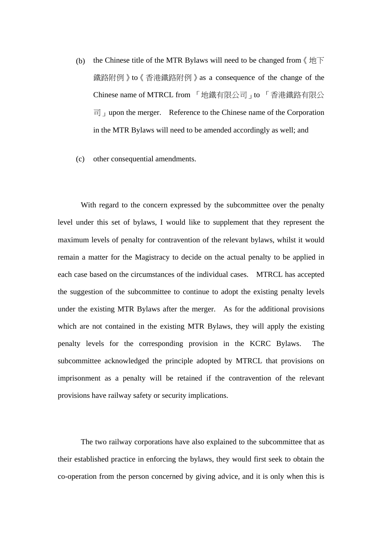- (b) the Chinese title of the MTR Bylaws will need to be changed from  $\langle \psi | \overline{\psi} \rangle$ 鐵路附例》to《香港鐵路附例》as a consequence of the change of the Chinese name of MTRCL from 「地鐵有限公司」to 「香港鐵路有限公  $\overline{F}$  upon the merger. Reference to the Chinese name of the Corporation in the MTR Bylaws will need to be amended accordingly as well; and
- (c) other consequential amendments.

With regard to the concern expressed by the subcommittee over the penalty level under this set of bylaws, I would like to supplement that they represent the maximum levels of penalty for contravention of the relevant bylaws, whilst it would remain a matter for the Magistracy to decide on the actual penalty to be applied in each case based on the circumstances of the individual cases. MTRCL has accepted the suggestion of the subcommittee to continue to adopt the existing penalty levels under the existing MTR Bylaws after the merger. As for the additional provisions which are not contained in the existing MTR Bylaws, they will apply the existing penalty levels for the corresponding provision in the KCRC Bylaws. The subcommittee acknowledged the principle adopted by MTRCL that provisions on imprisonment as a penalty will be retained if the contravention of the relevant provisions have railway safety or security implications.

The two railway corporations have also explained to the subcommittee that as their established practice in enforcing the bylaws, they would first seek to obtain the co-operation from the person concerned by giving advice, and it is only when this is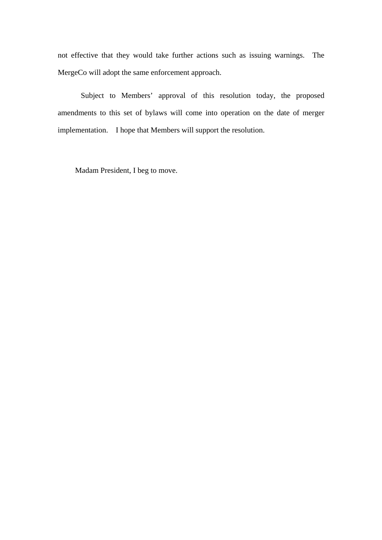not effective that they would take further actions such as issuing warnings. The MergeCo will adopt the same enforcement approach.

Subject to Members' approval of this resolution today, the proposed amendments to this set of bylaws will come into operation on the date of merger implementation. I hope that Members will support the resolution.

Madam President, I beg to move.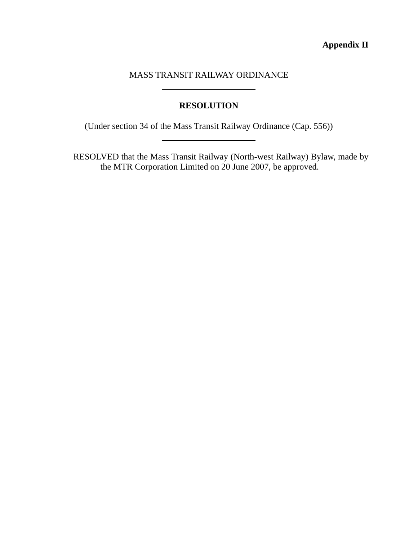# MASS TRANSIT RAILWAY ORDINANCE

 $\overline{\phantom{a}}$ 

l

# **RESOLUTION**

(Under section 34 of the Mass Transit Railway Ordinance (Cap. 556))

RESOLVED that the Mass Transit Railway (North-west Railway) Bylaw, made by the MTR Corporation Limited on 20 June 2007, be approved.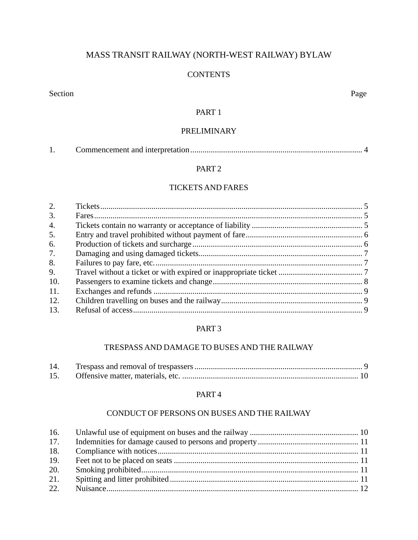# MASS TRANSIT RAILWAY (NORTH-WEST RAILWAY) BYLAW

## **CONTENTS**

Section Page

# PART 1

# PRELIMINARY

# PART 2

# TICKETS AND FARES

| 2.               |  |
|------------------|--|
| 3.               |  |
| $\overline{4}$ . |  |
| 5.               |  |
| 6.               |  |
| 7.               |  |
| 8.               |  |
| 9.               |  |
| 10.              |  |
| 11.              |  |
| 12.              |  |
| 13.              |  |

## PART 3

## TRESPASS AND DAMAGE TO BUSES AND THE RAILWAY

| 14. |  |
|-----|--|
| 15. |  |

## PART 4

# CONDUCT OF PERSONS ON BUSES AND THE RAILWAY

| 17. |  |
|-----|--|
| 18. |  |
| 19. |  |
| 20. |  |
| 21. |  |
| 22. |  |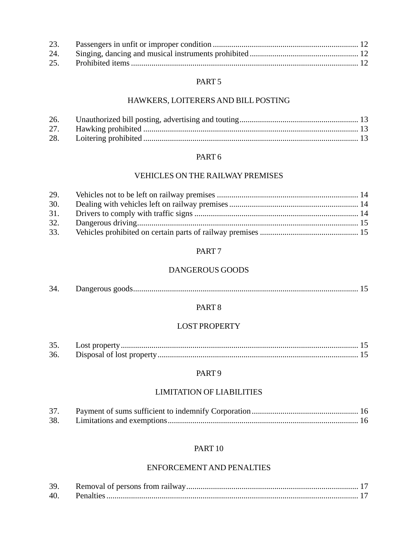| 25. |  |
|-----|--|

## PART 5

# HAWKERS, LOITERERS AND BILL POSTING

| 26. |  |
|-----|--|
|     |  |
| 28. |  |

## PART 6

# VEHICLES ON THE RAILWAY PREMISES

| 29. |  |
|-----|--|
| 30. |  |
| 31. |  |
| 32. |  |
| 33. |  |

## PART 7

# DANGEROUS GOODS

| 34 |  |  |  |
|----|--|--|--|
|----|--|--|--|

## PART 8

## LOST PROPERTY

| 35. |  |
|-----|--|
| 36. |  |

## PART 9

# LIMITATION OF LIABILITIES

| 37. |  |
|-----|--|
|     |  |

# PART 10

## ENFORCEMENTAND PENALTIES

| 39. |  |
|-----|--|
| 40. |  |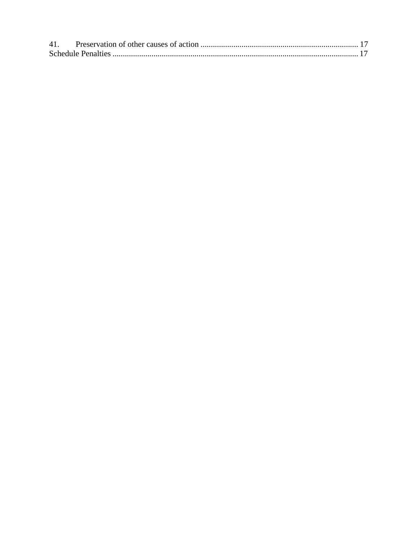| 41. |  |
|-----|--|
|     |  |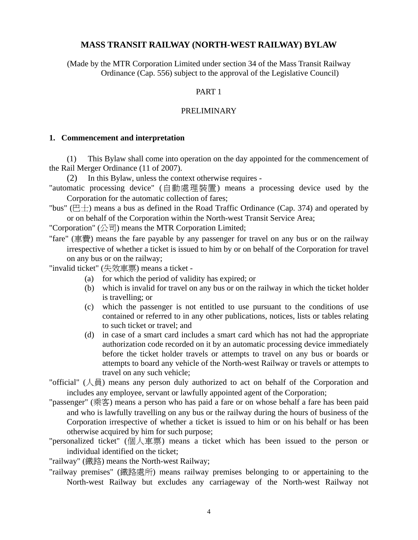## **MASS TRANSIT RAILWAY (NORTH-WEST RAILWAY) BYLAW**

(Made by the MTR Corporation Limited under section 34 of the Mass Transit Railway Ordinance (Cap. 556) subject to the approval of the Legislative Council)

## PART 1

## PRELIMINARY

#### **1. Commencement and interpretation**

(1) This Bylaw shall come into operation on the day appointed for the commencement of the Rail Merger Ordinance (11 of 2007).

(2) In this Bylaw, unless the context otherwise requires -

- "automatic processing device" (自動處理裝置) means a processing device used by the Corporation for the automatic collection of fares;
- "bus" ( $E\pm$ ) means a bus as defined in the Road Traffic Ordinance (Cap. 374) and operated by or on behalf of the Corporation within the North-west Transit Service Area;

"Corporation"  $(\triangle \overline{\overline{\mathbf{a}}}$ ) means the MTR Corporation Limited;

"fare" (車費) means the fare payable by any passenger for travel on any bus or on the railway irrespective of whether a ticket is issued to him by or on behalf of the Corporation for travel on any bus or on the railway;

"invalid ticket" (失效車票) means a ticket -

- (a) for which the period of validity has expired; or
- (b) which is invalid for travel on any bus or on the railway in which the ticket holder is travelling; or
- (c) which the passenger is not entitled to use pursuant to the conditions of use contained or referred to in any other publications, notices, lists or tables relating to such ticket or travel; and
- (d) in case of a smart card includes a smart card which has not had the appropriate authorization code recorded on it by an automatic processing device immediately before the ticket holder travels or attempts to travel on any bus or boards or attempts to board any vehicle of the North-west Railway or travels or attempts to travel on any such vehicle;
- "official" (人員) means any person duly authorized to act on behalf of the Corporation and includes any employee, servant or lawfully appointed agent of the Corporation;
- "passenger" (乘客) means a person who has paid a fare or on whose behalf a fare has been paid and who is lawfully travelling on any bus or the railway during the hours of business of the Corporation irrespective of whether a ticket is issued to him or on his behalf or has been otherwise acquired by him for such purpose;
- "personalized ticket" (個人車票) means a ticket which has been issued to the person or individual identified on the ticket;

"railway" (鐵路) means the North-west Railway;

"railway premises" (鐵路處所) means railway premises belonging to or appertaining to the North-west Railway but excludes any carriageway of the North-west Railway not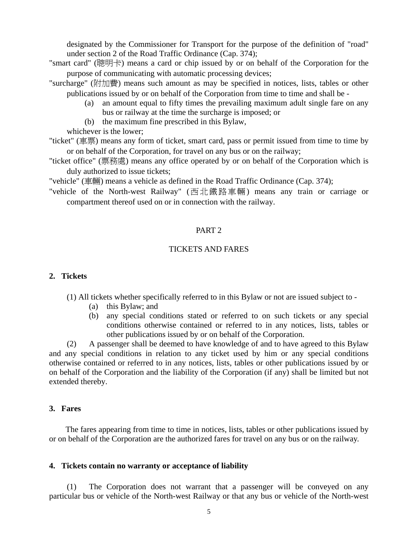designated by the Commissioner for Transport for the purpose of the definition of "road" under section 2 of the Road Traffic Ordinance (Cap. 374);

- "smart card" (聰明卡) means a card or chip issued by or on behalf of the Corporation for the purpose of communicating with automatic processing devices;
- "surcharge" (附加費) means such amount as may be specified in notices, lists, tables or other publications issued by or on behalf of the Corporation from time to time and shall be -
	- (a) an amount equal to fifty times the prevailing maximum adult single fare on any bus or railway at the time the surcharge is imposed; or
	- (b) the maximum fine prescribed in this Bylaw,

whichever is the lower;

- "ticket" (車票) means any form of ticket, smart card, pass or permit issued from time to time by or on behalf of the Corporation, for travel on any bus or on the railway;
- "ticket office" (票務處) means any office operated by or on behalf of the Corporation which is duly authorized to issue tickets;

"vehicle" (車輛) means a vehicle as defined in the Road Traffic Ordinance (Cap. 374);

"vehicle of the North-west Railway" (西北鐵路車輛) means any train or carriage or compartment thereof used on or in connection with the railway.

## PART 2

## TICKETS AND FARES

#### **2. Tickets**

- (1) All tickets whether specifically referred to in this Bylaw or not are issued subject to
	- (a) this Bylaw; and
	- (b) any special conditions stated or referred to on such tickets or any special conditions otherwise contained or referred to in any notices, lists, tables or other publications issued by or on behalf of the Corporation.

 (2) A passenger shall be deemed to have knowledge of and to have agreed to this Bylaw and any special conditions in relation to any ticket used by him or any special conditions otherwise contained or referred to in any notices, lists, tables or other publications issued by or on behalf of the Corporation and the liability of the Corporation (if any) shall be limited but not extended thereby.

## **3. Fares**

 The fares appearing from time to time in notices, lists, tables or other publications issued by or on behalf of the Corporation are the authorized fares for travel on any bus or on the railway.

#### **4. Tickets contain no warranty or acceptance of liability**

 (1) The Corporation does not warrant that a passenger will be conveyed on any particular bus or vehicle of the North-west Railway or that any bus or vehicle of the North-west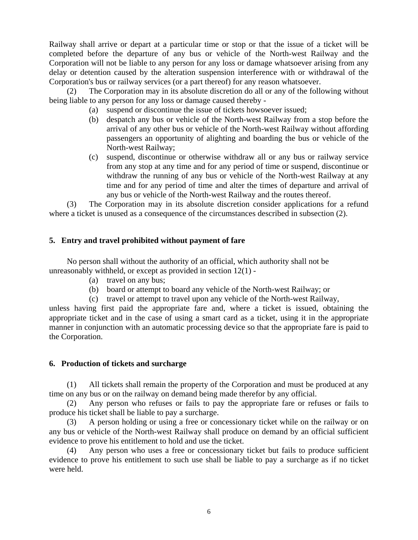Railway shall arrive or depart at a particular time or stop or that the issue of a ticket will be completed before the departure of any bus or vehicle of the North-west Railway and the Corporation will not be liable to any person for any loss or damage whatsoever arising from any delay or detention caused by the alteration suspension interference with or withdrawal of the Corporation's bus or railway services (or a part thereof) for any reason whatsoever.

 (2) The Corporation may in its absolute discretion do all or any of the following without being liable to any person for any loss or damage caused thereby -

- (a) suspend or discontinue the issue of tickets howsoever issued;
- (b) despatch any bus or vehicle of the North-west Railway from a stop before the arrival of any other bus or vehicle of the North-west Railway without affording passengers an opportunity of alighting and boarding the bus or vehicle of the North-west Railway;
- (c) suspend, discontinue or otherwise withdraw all or any bus or railway service from any stop at any time and for any period of time or suspend, discontinue or withdraw the running of any bus or vehicle of the North-west Railway at any time and for any period of time and alter the times of departure and arrival of any bus or vehicle of the North-west Railway and the routes thereof.

 (3) The Corporation may in its absolute discretion consider applications for a refund where a ticket is unused as a consequence of the circumstances described in subsection (2).

# **5. Entry and travel prohibited without payment of fare**

 No person shall without the authority of an official, which authority shall not be unreasonably withheld, or except as provided in section 12(1) -

- (a) travel on any bus;
- (b) board or attempt to board any vehicle of the North-west Railway; or
- (c) travel or attempt to travel upon any vehicle of the North-west Railway,

unless having first paid the appropriate fare and, where a ticket is issued, obtaining the appropriate ticket and in the case of using a smart card as a ticket, using it in the appropriate manner in conjunction with an automatic processing device so that the appropriate fare is paid to the Corporation.

## **6. Production of tickets and surcharge**

 (1) All tickets shall remain the property of the Corporation and must be produced at any time on any bus or on the railway on demand being made therefor by any official.

 (2) Any person who refuses or fails to pay the appropriate fare or refuses or fails to produce his ticket shall be liable to pay a surcharge.

 (3) A person holding or using a free or concessionary ticket while on the railway or on any bus or vehicle of the North-west Railway shall produce on demand by an official sufficient evidence to prove his entitlement to hold and use the ticket.

 (4) Any person who uses a free or concessionary ticket but fails to produce sufficient evidence to prove his entitlement to such use shall be liable to pay a surcharge as if no ticket were held.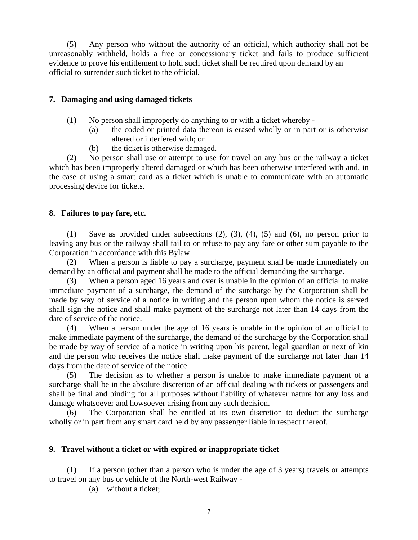(5) Any person who without the authority of an official, which authority shall not be unreasonably withheld, holds a free or concessionary ticket and fails to produce sufficient evidence to prove his entitlement to hold such ticket shall be required upon demand by an official to surrender such ticket to the official.

# **7. Damaging and using damaged tickets**

- (1) No person shall improperly do anything to or with a ticket whereby
	- (a) the coded or printed data thereon is erased wholly or in part or is otherwise altered or interfered with; or
	- (b) the ticket is otherwise damaged.

 (2) No person shall use or attempt to use for travel on any bus or the railway a ticket which has been improperly altered damaged or which has been otherwise interfered with and, in the case of using a smart card as a ticket which is unable to communicate with an automatic processing device for tickets.

## **8. Failures to pay fare, etc.**

 (1) Save as provided under subsections (2), (3), (4), (5) and (6), no person prior to leaving any bus or the railway shall fail to or refuse to pay any fare or other sum payable to the Corporation in accordance with this Bylaw.

When a person is liable to pay a surcharge, payment shall be made immediately on demand by an official and payment shall be made to the official demanding the surcharge.

 (3) When a person aged 16 years and over is unable in the opinion of an official to make immediate payment of a surcharge, the demand of the surcharge by the Corporation shall be made by way of service of a notice in writing and the person upon whom the notice is served shall sign the notice and shall make payment of the surcharge not later than 14 days from the date of service of the notice.

 (4) When a person under the age of 16 years is unable in the opinion of an official to make immediate payment of the surcharge, the demand of the surcharge by the Corporation shall be made by way of service of a notice in writing upon his parent, legal guardian or next of kin and the person who receives the notice shall make payment of the surcharge not later than 14 days from the date of service of the notice.

 (5) The decision as to whether a person is unable to make immediate payment of a surcharge shall be in the absolute discretion of an official dealing with tickets or passengers and shall be final and binding for all purposes without liability of whatever nature for any loss and damage whatsoever and howsoever arising from any such decision.

The Corporation shall be entitled at its own discretion to deduct the surcharge wholly or in part from any smart card held by any passenger liable in respect thereof.

# **9. Travel without a ticket or with expired or inappropriate ticket**

If a person (other than a person who is under the age of  $\overline{3}$  years) travels or attempts to travel on any bus or vehicle of the North-west Railway -

(a) without a ticket;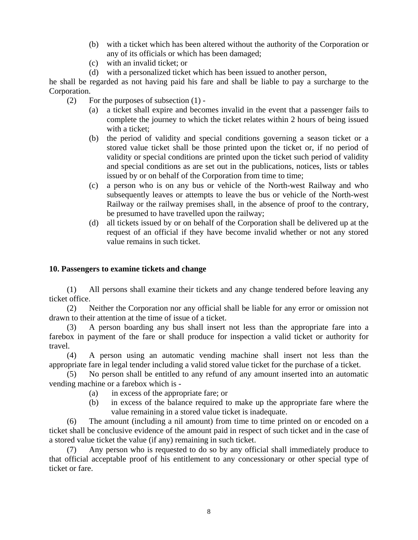- (b) with a ticket which has been altered without the authority of the Corporation or any of its officials or which has been damaged;
- (c) with an invalid ticket; or
- (d) with a personalized ticket which has been issued to another person,

he shall be regarded as not having paid his fare and shall be liable to pay a surcharge to the Corporation.

- (2) For the purposes of subsection (1)
	- (a) a ticket shall expire and becomes invalid in the event that a passenger fails to complete the journey to which the ticket relates within 2 hours of being issued with a ticket:
	- (b) the period of validity and special conditions governing a season ticket or a stored value ticket shall be those printed upon the ticket or, if no period of validity or special conditions are printed upon the ticket such period of validity and special conditions as are set out in the publications, notices, lists or tables issued by or on behalf of the Corporation from time to time;
	- (c) a person who is on any bus or vehicle of the North-west Railway and who subsequently leaves or attempts to leave the bus or vehicle of the North-west Railway or the railway premises shall, in the absence of proof to the contrary, be presumed to have travelled upon the railway;
	- (d) all tickets issued by or on behalf of the Corporation shall be delivered up at the request of an official if they have become invalid whether or not any stored value remains in such ticket.

## **10. Passengers to examine tickets and change**

 (1) All persons shall examine their tickets and any change tendered before leaving any ticket office.

 (2) Neither the Corporation nor any official shall be liable for any error or omission not drawn to their attention at the time of issue of a ticket.

 (3) A person boarding any bus shall insert not less than the appropriate fare into a farebox in payment of the fare or shall produce for inspection a valid ticket or authority for travel.

 (4) A person using an automatic vending machine shall insert not less than the appropriate fare in legal tender including a valid stored value ticket for the purchase of a ticket.

 (5) No person shall be entitled to any refund of any amount inserted into an automatic vending machine or a farebox which is -

- (a) in excess of the appropriate fare; or
- (b) in excess of the balance required to make up the appropriate fare where the value remaining in a stored value ticket is inadequate.

 (6) The amount (including a nil amount) from time to time printed on or encoded on a ticket shall be conclusive evidence of the amount paid in respect of such ticket and in the case of a stored value ticket the value (if any) remaining in such ticket.

 (7) Any person who is requested to do so by any official shall immediately produce to that official acceptable proof of his entitlement to any concessionary or other special type of ticket or fare.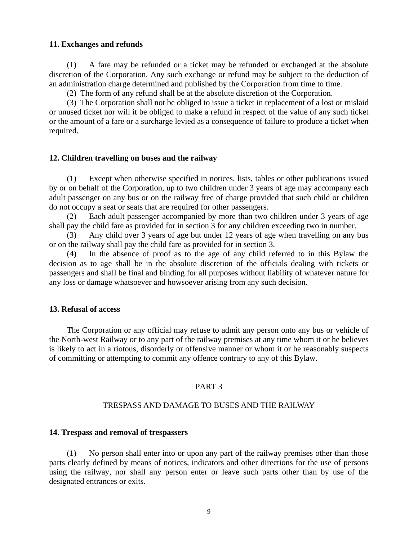#### **11. Exchanges and refunds**

 (1) A fare may be refunded or a ticket may be refunded or exchanged at the absolute discretion of the Corporation. Any such exchange or refund may be subject to the deduction of an administration charge determined and published by the Corporation from time to time.

(2) The form of any refund shall be at the absolute discretion of the Corporation.

 (3) The Corporation shall not be obliged to issue a ticket in replacement of a lost or mislaid or unused ticket nor will it be obliged to make a refund in respect of the value of any such ticket or the amount of a fare or a surcharge levied as a consequence of failure to produce a ticket when required.

#### **12. Children travelling on buses and the railway**

 (1) Except when otherwise specified in notices, lists, tables or other publications issued by or on behalf of the Corporation, up to two children under 3 years of age may accompany each adult passenger on any bus or on the railway free of charge provided that such child or children do not occupy a seat or seats that are required for other passengers.

 (2) Each adult passenger accompanied by more than two children under 3 years of age shall pay the child fare as provided for in section 3 for any children exceeding two in number.

 (3) Any child over 3 years of age but under 12 years of age when travelling on any bus or on the railway shall pay the child fare as provided for in section 3.

 (4) In the absence of proof as to the age of any child referred to in this Bylaw the decision as to age shall be in the absolute discretion of the officials dealing with tickets or passengers and shall be final and binding for all purposes without liability of whatever nature for any loss or damage whatsoever and howsoever arising from any such decision.

#### **13. Refusal of access**

 The Corporation or any official may refuse to admit any person onto any bus or vehicle of the North-west Railway or to any part of the railway premises at any time whom it or he believes is likely to act in a riotous, disorderly or offensive manner or whom it or he reasonably suspects of committing or attempting to commit any offence contrary to any of this Bylaw.

## PART 3

#### TRESPASS AND DAMAGE TO BUSES AND THE RAILWAY

#### **14. Trespass and removal of trespassers**

 (1) No person shall enter into or upon any part of the railway premises other than those parts clearly defined by means of notices, indicators and other directions for the use of persons using the railway, nor shall any person enter or leave such parts other than by use of the designated entrances or exits.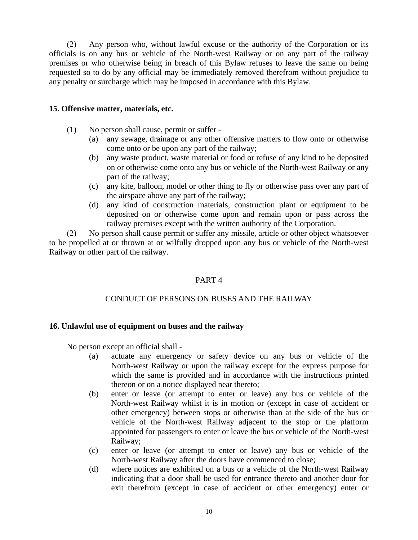(2) Any person who, without lawful excuse or the authority of the Corporation or its officials is on any bus or vehicle of the North-west Railway or on any part of the railway premises or who otherwise being in breach of this Bylaw refuses to leave the same on being requested so to do by any official may be immediately removed therefrom without prejudice to any penalty or surcharge which may be imposed in accordance with this Bylaw.

## **15. Offensive matter, materials, etc.**

- (1) No person shall cause, permit or suffer
	- (a) any sewage, drainage or any other offensive matters to flow onto or otherwise come onto or be upon any part of the railway;
	- (b) any waste product, waste material or food or refuse of any kind to be deposited on or otherwise come onto any bus or vehicle of the North-west Railway or any part of the railway;
	- (c) any kite, balloon, model or other thing to fly or otherwise pass over any part of the airspace above any part of the railway;
	- (d) any kind of construction materials, construction plant or equipment to be deposited on or otherwise come upon and remain upon or pass across the railway premises except with the written authority of the Corporation.

 (2) No person shall cause permit or suffer any missile, article or other object whatsoever to be propelled at or thrown at or wilfully dropped upon any bus or vehicle of the North-west Railway or other part of the railway.

## PART 4

# CONDUCT OF PERSONS ON BUSES AND THE RAILWAY

## **16. Unlawful use of equipment on buses and the railway**

No person except an official shall -

- (a) actuate any emergency or safety device on any bus or vehicle of the North-west Railway or upon the railway except for the express purpose for which the same is provided and in accordance with the instructions printed thereon or on a notice displayed near thereto;
- (b) enter or leave (or attempt to enter or leave) any bus or vehicle of the North-west Railway whilst it is in motion or (except in case of accident or other emergency) between stops or otherwise than at the side of the bus or vehicle of the North-west Railway adjacent to the stop or the platform appointed for passengers to enter or leave the bus or vehicle of the North-west Railway;
- (c) enter or leave (or attempt to enter or leave) any bus or vehicle of the North-west Railway after the doors have commenced to close;
- (d) where notices are exhibited on a bus or a vehicle of the North-west Railway indicating that a door shall be used for entrance thereto and another door for exit therefrom (except in case of accident or other emergency) enter or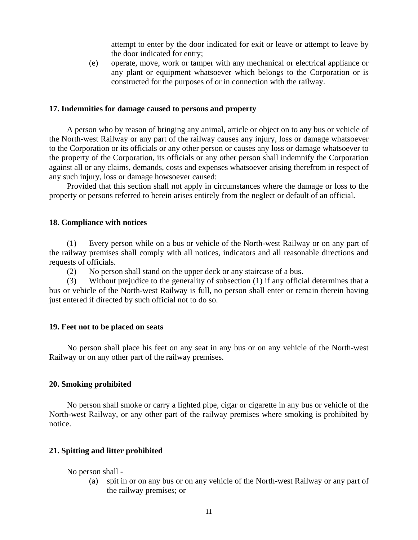attempt to enter by the door indicated for exit or leave or attempt to leave by the door indicated for entry;

 (e) operate, move, work or tamper with any mechanical or electrical appliance or any plant or equipment whatsoever which belongs to the Corporation or is constructed for the purposes of or in connection with the railway.

#### **17. Indemnities for damage caused to persons and property**

 A person who by reason of bringing any animal, article or object on to any bus or vehicle of the North-west Railway or any part of the railway causes any injury, loss or damage whatsoever to the Corporation or its officials or any other person or causes any loss or damage whatsoever to the property of the Corporation, its officials or any other person shall indemnify the Corporation against all or any claims, demands, costs and expenses whatsoever arising therefrom in respect of any such injury, loss or damage howsoever caused:

 Provided that this section shall not apply in circumstances where the damage or loss to the property or persons referred to herein arises entirely from the neglect or default of an official.

#### **18. Compliance with notices**

(1) Every person while on a bus or vehicle of the North-west Railway or on any part of the railway premises shall comply with all notices, indicators and all reasonable directions and requests of officials.

(2) No person shall stand on the upper deck or any staircase of a bus.

(3) Without prejudice to the generality of subsection (1) if any official determines that a bus or vehicle of the North-west Railway is full, no person shall enter or remain therein having just entered if directed by such official not to do so.

#### **19. Feet not to be placed on seats**

 No person shall place his feet on any seat in any bus or on any vehicle of the North-west Railway or on any other part of the railway premises.

#### **20. Smoking prohibited**

 No person shall smoke or carry a lighted pipe, cigar or cigarette in any bus or vehicle of the North-west Railway, or any other part of the railway premises where smoking is prohibited by notice.

#### **21. Spitting and litter prohibited**

No person shall -

 (a) spit in or on any bus or on any vehicle of the North-west Railway or any part of the railway premises; or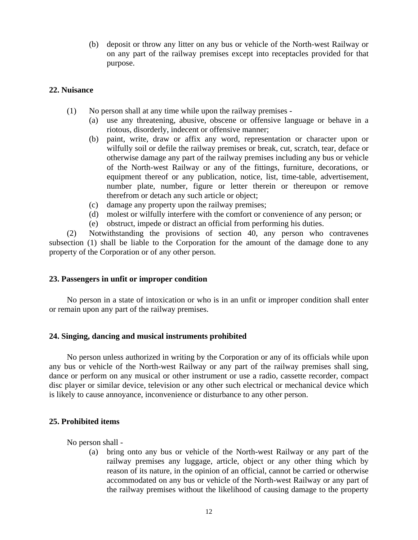(b) deposit or throw any litter on any bus or vehicle of the North-west Railway or on any part of the railway premises except into receptacles provided for that purpose.

## **22. Nuisance**

- (1) No person shall at any time while upon the railway premises
	- (a) use any threatening, abusive, obscene or offensive language or behave in a riotous, disorderly, indecent or offensive manner;
	- (b) paint, write, draw or affix any word, representation or character upon or wilfully soil or defile the railway premises or break, cut, scratch, tear, deface or otherwise damage any part of the railway premises including any bus or vehicle of the North-west Railway or any of the fittings, furniture, decorations, or equipment thereof or any publication, notice, list, time-table, advertisement, number plate, number, figure or letter therein or thereupon or remove therefrom or detach any such article or object;
	- (c) damage any property upon the railway premises;
	- (d) molest or wilfully interfere with the comfort or convenience of any person; or
	- (e) obstruct, impede or distract an official from performing his duties.

 (2) Notwithstanding the provisions of section 40, any person who contravenes subsection (1) shall be liable to the Corporation for the amount of the damage done to any property of the Corporation or of any other person.

## **23. Passengers in unfit or improper condition**

 No person in a state of intoxication or who is in an unfit or improper condition shall enter or remain upon any part of the railway premises.

## **24. Singing, dancing and musical instruments prohibited**

 No person unless authorized in writing by the Corporation or any of its officials while upon any bus or vehicle of the North-west Railway or any part of the railway premises shall sing, dance or perform on any musical or other instrument or use a radio, cassette recorder, compact disc player or similar device, television or any other such electrical or mechanical device which is likely to cause annoyance, inconvenience or disturbance to any other person.

## **25. Prohibited items**

No person shall -

 (a) bring onto any bus or vehicle of the North-west Railway or any part of the railway premises any luggage, article, object or any other thing which by reason of its nature, in the opinion of an official, cannot be carried or otherwise accommodated on any bus or vehicle of the North-west Railway or any part of the railway premises without the likelihood of causing damage to the property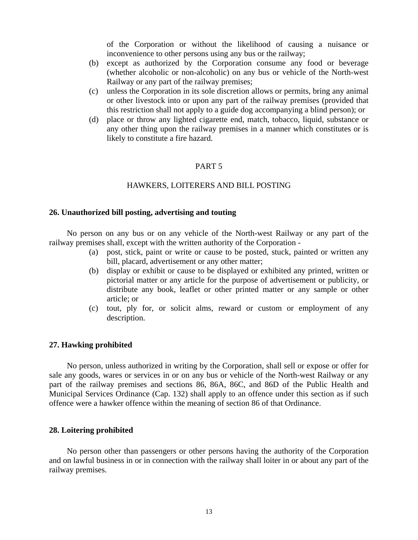of the Corporation or without the likelihood of causing a nuisance or inconvenience to other persons using any bus or the railway;

- (b) except as authorized by the Corporation consume any food or beverage (whether alcoholic or non-alcoholic) on any bus or vehicle of the North-west Railway or any part of the railway premises;
- (c) unless the Corporation in its sole discretion allows or permits, bring any animal or other livestock into or upon any part of the railway premises (provided that this restriction shall not apply to a guide dog accompanying a blind person); or
- (d) place or throw any lighted cigarette end, match, tobacco, liquid, substance or any other thing upon the railway premises in a manner which constitutes or is likely to constitute a fire hazard.

## PART 5

## HAWKERS, LOITERERS AND BILL POSTING

#### **26. Unauthorized bill posting, advertising and touting**

No person on any bus or on any vehicle of the North-west Railway or any part of the railway premises shall, except with the written authority of the Corporation -

- (a) post, stick, paint or write or cause to be posted, stuck, painted or written any bill, placard, advertisement or any other matter;
- (b) display or exhibit or cause to be displayed or exhibited any printed, written or pictorial matter or any article for the purpose of advertisement or publicity, or distribute any book, leaflet or other printed matter or any sample or other article; or
- (c) tout, ply for, or solicit alms, reward or custom or employment of any description.

#### **27. Hawking prohibited**

No person, unless authorized in writing by the Corporation, shall sell or expose or offer for sale any goods, wares or services in or on any bus or vehicle of the North-west Railway or any part of the railway premises and sections 86, 86A, 86C, and 86D of the Public Health and Municipal Services Ordinance (Cap. 132) shall apply to an offence under this section as if such offence were a hawker offence within the meaning of section 86 of that Ordinance.

#### **28. Loitering prohibited**

No person other than passengers or other persons having the authority of the Corporation and on lawful business in or in connection with the railway shall loiter in or about any part of the railway premises.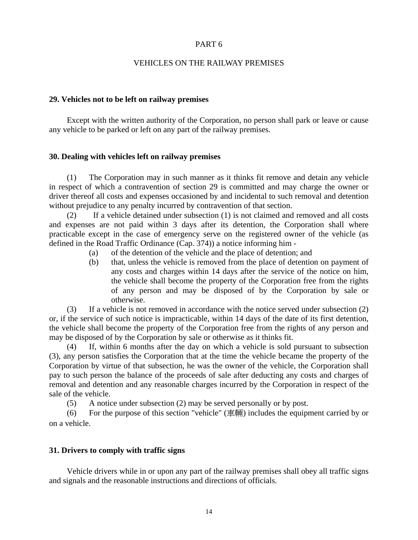## PART 6

## VEHICLES ON THE RAILWAY PREMISES

## **29. Vehicles not to be left on railway premises**

 Except with the written authority of the Corporation, no person shall park or leave or cause any vehicle to be parked or left on any part of the railway premises.

## **30. Dealing with vehicles left on railway premises**

 (1) The Corporation may in such manner as it thinks fit remove and detain any vehicle in respect of which a contravention of section 29 is committed and may charge the owner or driver thereof all costs and expenses occasioned by and incidental to such removal and detention without prejudice to any penalty incurred by contravention of that section.

 (2) If a vehicle detained under subsection (1) is not claimed and removed and all costs and expenses are not paid within 3 days after its detention, the Corporation shall where practicable except in the case of emergency serve on the registered owner of the vehicle (as defined in the Road Traffic Ordinance (Cap. 374)) a notice informing him -

- (a) of the detention of the vehicle and the place of detention; and
- (b) that, unless the vehicle is removed from the place of detention on payment of any costs and charges within 14 days after the service of the notice on him, the vehicle shall become the property of the Corporation free from the rights of any person and may be disposed of by the Corporation by sale or otherwise.

 (3) If a vehicle is not removed in accordance with the notice served under subsection (2) or, if the service of such notice is impracticable, within 14 days of the date of its first detention, the vehicle shall become the property of the Corporation free from the rights of any person and may be disposed of by the Corporation by sale or otherwise as it thinks fit.

 (4) If, within 6 months after the day on which a vehicle is sold pursuant to subsection (3), any person satisfies the Corporation that at the time the vehicle became the property of the Corporation by virtue of that subsection, he was the owner of the vehicle, the Corporation shall pay to such person the balance of the proceeds of sale after deducting any costs and charges of removal and detention and any reasonable charges incurred by the Corporation in respect of the sale of the vehicle.

(5) A notice under subsection (2) may be served personally or by post.

(6) For the purpose of this section "vehicle" (車輛) includes the equipment carried by or on a vehicle.

## **31. Drivers to comply with traffic signs**

 Vehicle drivers while in or upon any part of the railway premises shall obey all traffic signs and signals and the reasonable instructions and directions of officials.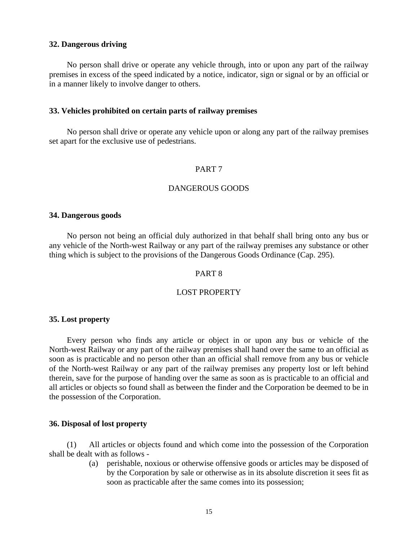#### **32. Dangerous driving**

No person shall drive or operate any vehicle through, into or upon any part of the railway premises in excess of the speed indicated by a notice, indicator, sign or signal or by an official or in a manner likely to involve danger to others.

#### **33. Vehicles prohibited on certain parts of railway premises**

No person shall drive or operate any vehicle upon or along any part of the railway premises set apart for the exclusive use of pedestrians.

## PART 7

## DANGEROUS GOODS

#### **34. Dangerous goods**

No person not being an official duly authorized in that behalf shall bring onto any bus or any vehicle of the North-west Railway or any part of the railway premises any substance or other thing which is subject to the provisions of the Dangerous Goods Ordinance (Cap. 295).

#### PART 8

## LOST PROPERTY

#### **35. Lost property**

Every person who finds any article or object in or upon any bus or vehicle of the North-west Railway or any part of the railway premises shall hand over the same to an official as soon as is practicable and no person other than an official shall remove from any bus or vehicle of the North-west Railway or any part of the railway premises any property lost or left behind therein, save for the purpose of handing over the same as soon as is practicable to an official and all articles or objects so found shall as between the finder and the Corporation be deemed to be in the possession of the Corporation.

#### **36. Disposal of lost property**

 (1) All articles or objects found and which come into the possession of the Corporation shall be dealt with as follows -

> (a) perishable, noxious or otherwise offensive goods or articles may be disposed of by the Corporation by sale or otherwise as in its absolute discretion it sees fit as soon as practicable after the same comes into its possession;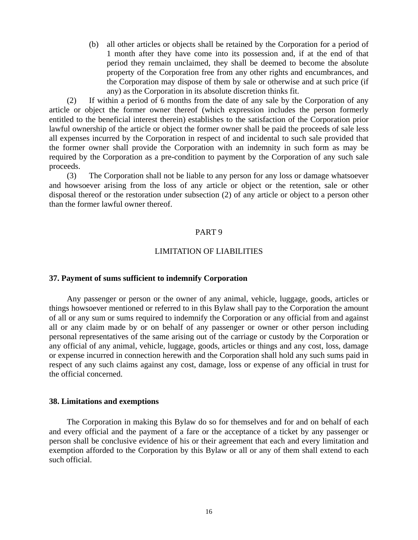(b) all other articles or objects shall be retained by the Corporation for a period of 1 month after they have come into its possession and, if at the end of that period they remain unclaimed, they shall be deemed to become the absolute property of the Corporation free from any other rights and encumbrances, and the Corporation may dispose of them by sale or otherwise and at such price (if any) as the Corporation in its absolute discretion thinks fit.

 (2) If within a period of 6 months from the date of any sale by the Corporation of any article or object the former owner thereof (which expression includes the person formerly entitled to the beneficial interest therein) establishes to the satisfaction of the Corporation prior lawful ownership of the article or object the former owner shall be paid the proceeds of sale less all expenses incurred by the Corporation in respect of and incidental to such sale provided that the former owner shall provide the Corporation with an indemnity in such form as may be required by the Corporation as a pre-condition to payment by the Corporation of any such sale proceeds.

 (3) The Corporation shall not be liable to any person for any loss or damage whatsoever and howsoever arising from the loss of any article or object or the retention, sale or other disposal thereof or the restoration under subsection (2) of any article or object to a person other than the former lawful owner thereof.

#### PART 9

#### LIMITATION OF LIABILITIES

#### **37. Payment of sums sufficient to indemnify Corporation**

Any passenger or person or the owner of any animal, vehicle, luggage, goods, articles or things howsoever mentioned or referred to in this Bylaw shall pay to the Corporation the amount of all or any sum or sums required to indemnify the Corporation or any official from and against all or any claim made by or on behalf of any passenger or owner or other person including personal representatives of the same arising out of the carriage or custody by the Corporation or any official of any animal, vehicle, luggage, goods, articles or things and any cost, loss, damage or expense incurred in connection herewith and the Corporation shall hold any such sums paid in respect of any such claims against any cost, damage, loss or expense of any official in trust for the official concerned.

#### **38. Limitations and exemptions**

The Corporation in making this Bylaw do so for themselves and for and on behalf of each and every official and the payment of a fare or the acceptance of a ticket by any passenger or person shall be conclusive evidence of his or their agreement that each and every limitation and exemption afforded to the Corporation by this Bylaw or all or any of them shall extend to each such official.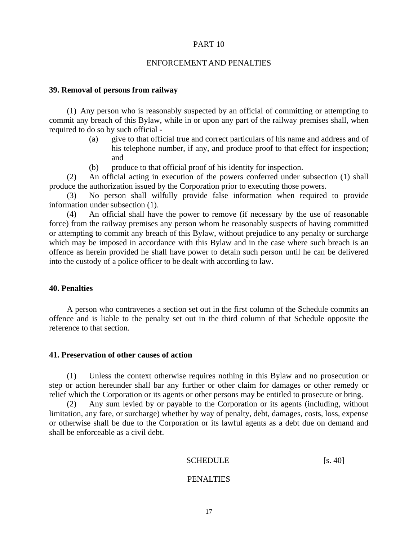#### PART 10

#### ENFORCEMENT AND PENALTIES

#### **39. Removal of persons from railway**

 (1) Any person who is reasonably suspected by an official of committing or attempting to commit any breach of this Bylaw, while in or upon any part of the railway premises shall, when required to do so by such official -

- (a) give to that official true and correct particulars of his name and address and of his telephone number, if any, and produce proof to that effect for inspection; and
- (b) produce to that official proof of his identity for inspection.

 (2) An official acting in execution of the powers conferred under subsection (1) shall produce the authorization issued by the Corporation prior to executing those powers.

 (3) No person shall wilfully provide false information when required to provide information under subsection (1).

 (4) An official shall have the power to remove (if necessary by the use of reasonable force) from the railway premises any person whom he reasonably suspects of having committed or attempting to commit any breach of this Bylaw, without prejudice to any penalty or surcharge which may be imposed in accordance with this Bylaw and in the case where such breach is an offence as herein provided he shall have power to detain such person until he can be delivered into the custody of a police officer to be dealt with according to law.

#### **40. Penalties**

A person who contravenes a section set out in the first column of the Schedule commits an offence and is liable to the penalty set out in the third column of that Schedule opposite the reference to that section.

#### **41. Preservation of other causes of action**

 (1) Unless the context otherwise requires nothing in this Bylaw and no prosecution or step or action hereunder shall bar any further or other claim for damages or other remedy or relief which the Corporation or its agents or other persons may be entitled to prosecute or bring.

 (2) Any sum levied by or payable to the Corporation or its agents (including, without limitation, any fare, or surcharge) whether by way of penalty, debt, damages, costs, loss, expense or otherwise shall be due to the Corporation or its lawful agents as a debt due on demand and shall be enforceable as a civil debt.

#### **SCHEDULE** [s. 40]

#### PENALTIES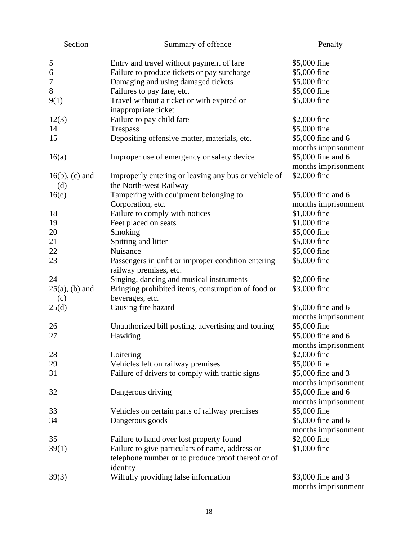| Section                  | Summary of offence                                                             | Penalty             |
|--------------------------|--------------------------------------------------------------------------------|---------------------|
| 5                        | Entry and travel without payment of fare                                       | \$5,000 fine        |
| 6                        | Failure to produce tickets or pay surcharge                                    | \$5,000 fine        |
| 7                        | Damaging and using damaged tickets                                             | \$5,000 fine        |
| $8\,$                    | Failures to pay fare, etc.                                                     | \$5,000 fine        |
| 9(1)                     | Travel without a ticket or with expired or                                     | \$5,000 fine        |
|                          | inappropriate ticket                                                           |                     |
| 12(3)                    | Failure to pay child fare                                                      | \$2,000 fine        |
| 14                       | Trespass                                                                       | \$5,000 fine        |
| 15                       | Depositing offensive matter, materials, etc.                                   | \$5,000 fine and 6  |
|                          |                                                                                | months imprisonment |
| 16(a)                    | Improper use of emergency or safety device                                     | \$5,000 fine and 6  |
|                          |                                                                                | months imprisonment |
| $16(b)$ , (c) and<br>(d) | Improperly entering or leaving any bus or vehicle of<br>the North-west Railway | \$2,000 fine        |
| 16(e)                    | Tampering with equipment belonging to                                          | \$5,000 fine and 6  |
|                          | Corporation, etc.                                                              | months imprisonment |
| 18                       | Failure to comply with notices                                                 | \$1,000 fine        |
| 19                       | Feet placed on seats                                                           | \$1,000 fine        |
| 20                       | Smoking                                                                        | \$5,000 fine        |
| 21                       | Spitting and litter                                                            | \$5,000 fine        |
| 22                       | Nuisance                                                                       | \$5,000 fine        |
| 23                       | Passengers in unfit or improper condition entering                             | \$5,000 fine        |
|                          | railway premises, etc.                                                         |                     |
| 24                       | Singing, dancing and musical instruments                                       | \$2,000 fine        |
| $25(a)$ , (b) and        | Bringing prohibited items, consumption of food or                              | \$3,000 fine        |
| (c)                      | beverages, etc.                                                                |                     |
| 25(d)                    | Causing fire hazard                                                            | \$5,000 fine and 6  |
|                          |                                                                                | months imprisonment |
| 26                       | Unauthorized bill posting, advertising and touting                             | \$5,000 fine        |
| 27                       | Hawking                                                                        | \$5,000 fine and 6  |
|                          |                                                                                | months imprisonment |
| 28                       | Loitering                                                                      | \$2,000 fine        |
| 29                       | Vehicles left on railway premises                                              | \$5,000 fine        |
| 31                       | Failure of drivers to comply with traffic signs                                | \$5,000 fine and 3  |
|                          |                                                                                | months imprisonment |
| 32                       | Dangerous driving                                                              | \$5,000 fine and 6  |
|                          |                                                                                | months imprisonment |
| 33                       | Vehicles on certain parts of railway premises                                  | \$5,000 fine        |
| 34                       | Dangerous goods                                                                | \$5,000 fine and 6  |
|                          |                                                                                | months imprisonment |
| 35                       | Failure to hand over lost property found                                       | \$2,000 fine        |
| 39(1)                    | Failure to give particulars of name, address or                                | \$1,000 fine        |
|                          | telephone number or to produce proof thereof or of                             |                     |
|                          | identity                                                                       |                     |
| 39(3)                    | Wilfully providing false information                                           | \$3,000 fine and 3  |
|                          |                                                                                | months imprisonment |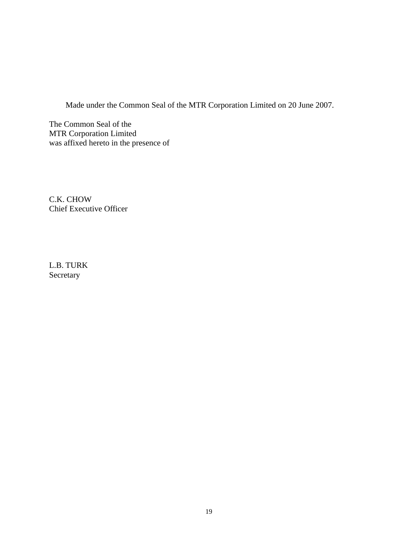Made under the Common Seal of the MTR Corporation Limited on 20 June 2007.

The Common Seal of the MTR Corporation Limited was affixed hereto in the presence of

C.K. CHOW Chief Executive Officer

L.B. TURK Secretary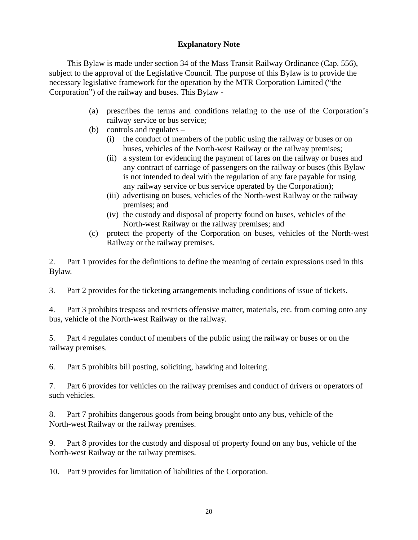# **Explanatory Note**

This Bylaw is made under section 34 of the Mass Transit Railway Ordinance (Cap. 556), subject to the approval of the Legislative Council. The purpose of this Bylaw is to provide the necessary legislative framework for the operation by the MTR Corporation Limited ("the Corporation") of the railway and buses. This Bylaw -

- (a) prescribes the terms and conditions relating to the use of the Corporation's railway service or bus service;
- (b) controls and regulates
	- (i) the conduct of members of the public using the railway or buses or on buses, vehicles of the North-west Railway or the railway premises;
	- (ii) a system for evidencing the payment of fares on the railway or buses and any contract of carriage of passengers on the railway or buses (this Bylaw is not intended to deal with the regulation of any fare payable for using any railway service or bus service operated by the Corporation);
	- (iii) advertising on buses, vehicles of the North-west Railway or the railway premises; and
	- (iv) the custody and disposal of property found on buses, vehicles of the North-west Railway or the railway premises; and
- (c) protect the property of the Corporation on buses, vehicles of the North-west Railway or the railway premises.

2. Part 1 provides for the definitions to define the meaning of certain expressions used in this Bylaw.

3. Part 2 provides for the ticketing arrangements including conditions of issue of tickets.

4. Part 3 prohibits trespass and restricts offensive matter, materials, etc. from coming onto any bus, vehicle of the North-west Railway or the railway.

5. Part 4 regulates conduct of members of the public using the railway or buses or on the railway premises.

6. Part 5 prohibits bill posting, soliciting, hawking and loitering.

7. Part 6 provides for vehicles on the railway premises and conduct of drivers or operators of such vehicles.

8. Part 7 prohibits dangerous goods from being brought onto any bus, vehicle of the North-west Railway or the railway premises.

9. Part 8 provides for the custody and disposal of property found on any bus, vehicle of the North-west Railway or the railway premises.

10. Part 9 provides for limitation of liabilities of the Corporation.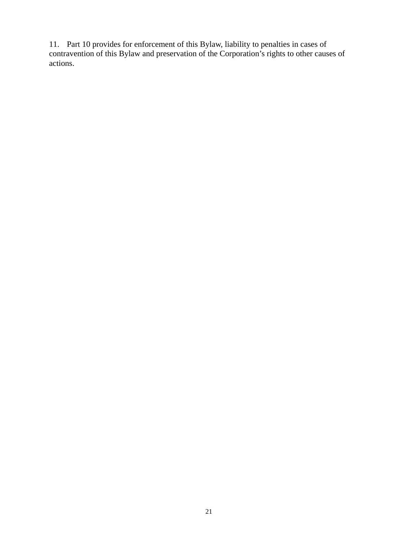11. Part 10 provides for enforcement of this Bylaw, liability to penalties in cases of contravention of this Bylaw and preservation of the Corporation's rights to other causes of actions.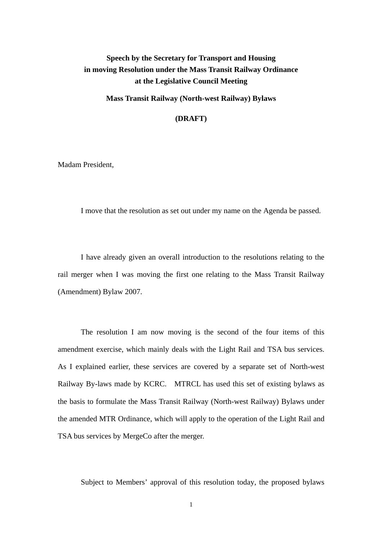# **Speech by the Secretary for Transport and Housing in moving Resolution under the Mass Transit Railway Ordinance at the Legislative Council Meeting**

**Mass Transit Railway (North-west Railway) Bylaws**

**(DRAFT)** 

Madam President,

I move that the resolution as set out under my name on the Agenda be passed.

I have already given an overall introduction to the resolutions relating to the rail merger when I was moving the first one relating to the Mass Transit Railway (Amendment) Bylaw 2007.

The resolution I am now moving is the second of the four items of this amendment exercise, which mainly deals with the Light Rail and TSA bus services. As I explained earlier, these services are covered by a separate set of North-west Railway By-laws made by KCRC. MTRCL has used this set of existing bylaws as the basis to formulate the Mass Transit Railway (North-west Railway) Bylaws under the amended MTR Ordinance, which will apply to the operation of the Light Rail and TSA bus services by MergeCo after the merger.

Subject to Members' approval of this resolution today, the proposed bylaws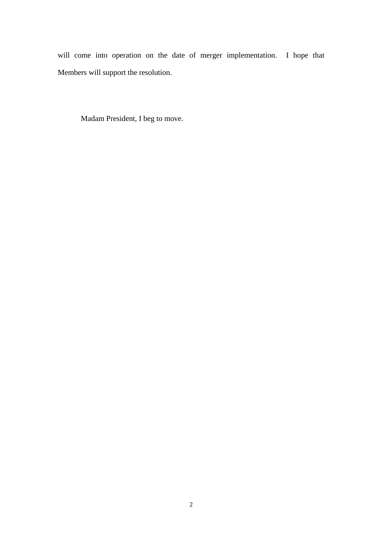will come into operation on the date of merger implementation. I hope that Members will support the resolution.

Madam President, I beg to move.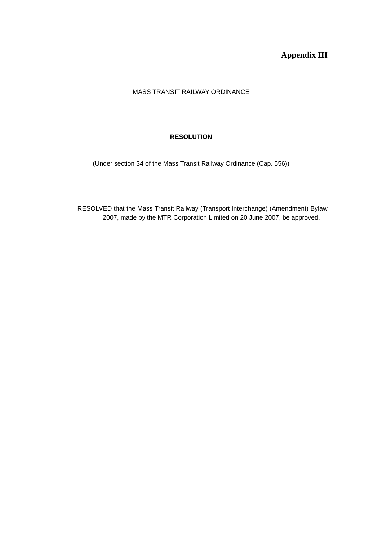**Appendix III** 

## MASS TRANSIT RAILWAY ORDINANCE

 $\overline{a}$ 

## **RESOLUTION**

(Under section 34 of the Mass Transit Railway Ordinance (Cap. 556))

RESOLVED that the Mass Transit Railway (Transport Interchange) (Amendment) Bylaw 2007, made by the MTR Corporation Limited on 20 June 2007, be approved.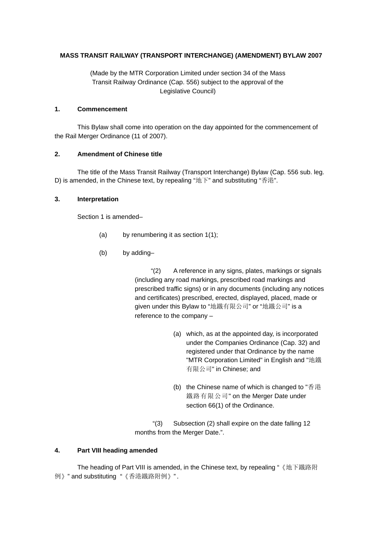## **MASS TRANSIT RAILWAY (TRANSPORT INTERCHANGE) (AMENDMENT) BYLAW 2007**

(Made by the MTR Corporation Limited under section 34 of the Mass Transit Railway Ordinance (Cap. 556) subject to the approval of the Legislative Council)

#### **1. Commencement**

This Bylaw shall come into operation on the day appointed for the commencement of the Rail Merger Ordinance (11 of 2007).

## **2. Amendment of Chinese title**

The title of the Mass Transit Railway (Transport Interchange) Bylaw (Cap. 556 sub. leg. D) is amended, in the Chinese text, by repealing "地下" and substituting "香港".

## **3. Interpretation**

Section 1 is amended–

- (a) by renumbering it as section 1(1);
- (b) by adding–

"(2) A reference in any signs, plates, markings or signals (including any road markings, prescribed road markings and prescribed traffic signs) or in any documents (including any notices and certificates) prescribed, erected, displayed, placed, made or given under this Bylaw to "地鐵有限公司" or "地鐵公司" is a reference to the company –

- (a) which, as at the appointed day, is incorporated under the Companies Ordinance (Cap. 32) and registered under that Ordinance by the name "MTR Corporation Limited" in English and "地鐵 有限公司" in Chinese; and
- (b) the Chinese name of which is changed to "香港 鐵路有限公司" on the Merger Date under section 66(1) of the Ordinance.

 "(3) Subsection (2) shall expire on the date falling 12 months from the Merger Date.".

## **4. Part VIII heading amended**

The heading of Part VIII is amended, in the Chinese text, by repealing "《地下鐵路附 例》" and substituting "《香港鐵路附例》".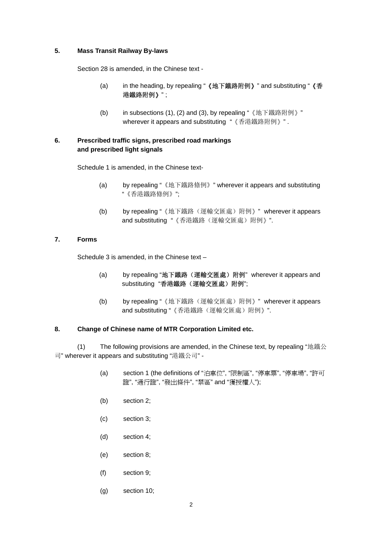#### **5. Mass Transit Railway By-laws**

Section 28 is amended, in the Chinese text -

- (a) in the heading, by repealing "《地下鐵路附例》" and substituting "《香 港鐵路附例》" ;
- (b) in subsections (1), (2) and (3), by repealing "《地下鐵路附例》" wherever it appears and substituting "《香港鐵路附例》".

## **6. Prescribed traffic signs, prescribed road markings and prescribed light signals**

Schedule 1 is amended, in the Chinese text-

- (a) by repealing "《地下鐵路條例》" wherever it appears and substituting "《香港鐵路條例》";
- (b) by repealing "《地下鐵路(運輸交匯處)附例》" wherever it appears and substituting "《香港鐵路(運輸交匯處)附例》".

#### **7. Forms**

Schedule 3 is amended, in the Chinese text –

- (a) by repealing "地下鐵路(運輸交匯處)附例" wherever it appears and substituting "香港鐵路(運輸交匯處)附例";
- (b) by repealing "《地下鐵路(運輸交匯處)附例》" wherever it appears and substituting "《香港鐵路(運輸交匯處)附例》".

#### **8. Change of Chinese name of MTR Corporation Limited etc.**

 (1) The following provisions are amended, in the Chinese text, by repealing "地鐵公 司" wherever it appears and substituting "港鐵公司" -

- (a) section 1 (the definitions of "泊車位", "限制區", "停車票", "停車場", "許可 證", "通行證", "發出條件", "禁區" and "獲授權人");
- (b) section 2;
- (c) section 3;
- (d) section 4;
- (e) section 8;
- (f) section 9;
- (g) section 10;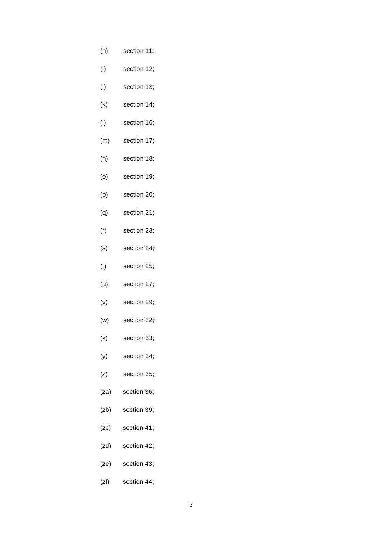- (h) section 11;
- (i) section 12;
- (j) section 13;
- (k) section 14;
- (l) section 16;
- (m) section 17;
- (n) section 18;
- (o) section 19;
- (p) section 20;
- (q) section 21;
- (r) section 23;
- (s) section 24;
- (t) section 25;
- (u) section 27;
- (v) section 29;
- (w) section 32;
- (x) section 33;
- (y) section 34;
- (z) section 35;
- (za) section 36;
- (zb) section 39;
- (zc) section 41;
- (zd) section 42;
- (ze) section 43;
- (zf) section 44;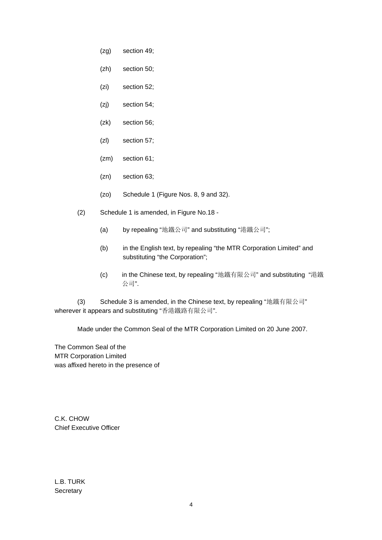- (zg) section 49;
- (zh) section 50;
- (zi) section 52;
- (zj) section 54;
- (zk) section 56;
- (zl) section 57;
- (zm) section 61;
- (zn) section 63;
- (zo) Schedule 1 (Figure Nos. 8, 9 and 32).
- (2) Schedule 1 is amended, in Figure No.18
	- (a) by repealing "地鐵公司" and substituting "港鐵公司";
	- (b) in the English text, by repealing "the MTR Corporation Limited" and substituting "the Corporation";
	- (c) in the Chinese text, by repealing "地鐵有限公司" and substituting "港鐵 公司".

 (3) Schedule 3 is amended, in the Chinese text, by repealing "地鐵有限公司" wherever it appears and substituting "香港鐵路有限公司".

Made under the Common Seal of the MTR Corporation Limited on 20 June 2007.

The Common Seal of the MTR Corporation Limited was affixed hereto in the presence of

C.K. CHOW Chief Executive Officer

L.B. TURK **Secretary**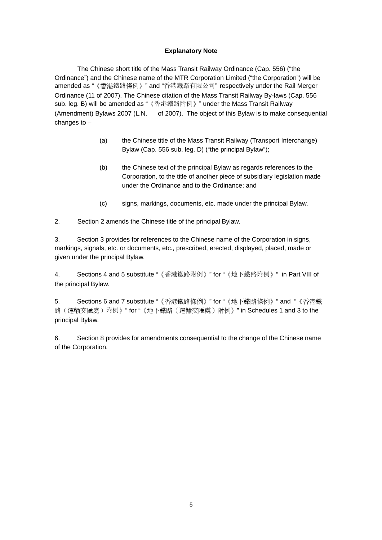## **Explanatory Note**

 The Chinese short title of the Mass Transit Railway Ordinance (Cap. 556) ("the Ordinance") and the Chinese name of the MTR Corporation Limited ("the Corporation") will be amended as "《香港鐵路條例》" and "香港鐵路有限公司" respectively under the Rail Merger Ordinance (11 of 2007). The Chinese citation of the Mass Transit Railway By-laws (Cap. 556 sub. leg. B) will be amended as "《香港鐵路附例》" under the Mass Transit Railway (Amendment) Bylaws 2007 (L.N. of 2007). The object of this Bylaw is to make consequential changes to –

- (a) the Chinese title of the Mass Transit Railway (Transport Interchange) Bylaw (Cap. 556 sub. leg. D) ("the principal Bylaw");
- (b) the Chinese text of the principal Bylaw as regards references to the Corporation, to the title of another piece of subsidiary legislation made under the Ordinance and to the Ordinance; and
- (c) signs, markings, documents, etc. made under the principal Bylaw.

2. Section 2 amends the Chinese title of the principal Bylaw.

3. Section 3 provides for references to the Chinese name of the Corporation in signs, markings, signals, etc. or documents, etc., prescribed, erected, displayed, placed, made or given under the principal Bylaw.

4. Sections 4 and 5 substitute "《香港鐵路附例》" for "《地下鐵路附例》" in Part VIII of the principal Bylaw.

5. Sections 6 and 7 substitute "《香港鐵路條例》" for "《地下鐵路條例》" and "《香港鐵 路(運輸交匯處)附例》" for "《地下鐵路(運輸交匯處)附例》" in Schedules 1 and 3 to the principal Bylaw.

6. Section 8 provides for amendments consequential to the change of the Chinese name of the Corporation.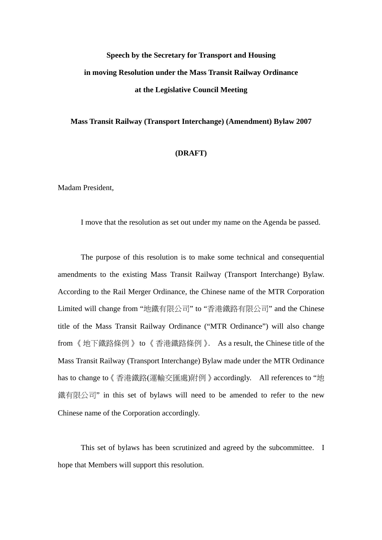# **Speech by the Secretary for Transport and Housing in moving Resolution under the Mass Transit Railway Ordinance at the Legislative Council Meeting**

#### **Mass Transit Railway (Transport Interchange) (Amendment) Bylaw 2007**

#### **(DRAFT)**

Madam President,

I move that the resolution as set out under my name on the Agenda be passed.

The purpose of this resolution is to make some technical and consequential amendments to the existing Mass Transit Railway (Transport Interchange) Bylaw. According to the Rail Merger Ordinance, the Chinese name of the MTR Corporation Limited will change from "地鐵有限公司" to "香港鐵路有限公司" and the Chinese title of the Mass Transit Railway Ordinance ("MTR Ordinance") will also change from 《地下鐵路條例》 to 《香港鐵路條例》. As a result, the Chinese title of the Mass Transit Railway (Transport Interchange) Bylaw made under the MTR Ordinance has to change to《香港鐵路(運輸交匯處)附例》accordingly. All references to "地 鐵有限公司" in this set of bylaws will need to be amended to refer to the new Chinese name of the Corporation accordingly.

This set of bylaws has been scrutinized and agreed by the subcommittee. I hope that Members will support this resolution.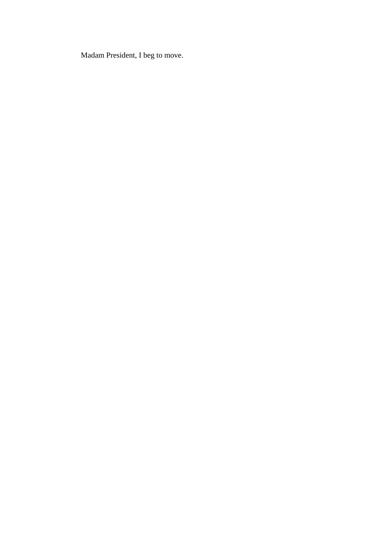Madam President, I beg to move.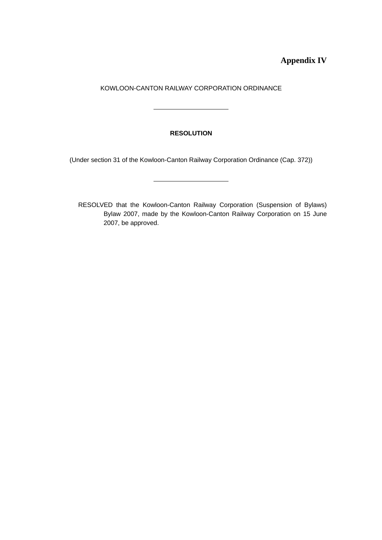**Appendix IV** 

KOWLOON-CANTON RAILWAY CORPORATION ORDINANCE

 $\overline{\phantom{a}}$ 

 $\overline{a}$ 

## **RESOLUTION**

(Under section 31 of the Kowloon-Canton Railway Corporation Ordinance (Cap. 372))

RESOLVED that the Kowloon-Canton Railway Corporation (Suspension of Bylaws) Bylaw 2007, made by the Kowloon-Canton Railway Corporation on 15 June 2007, be approved.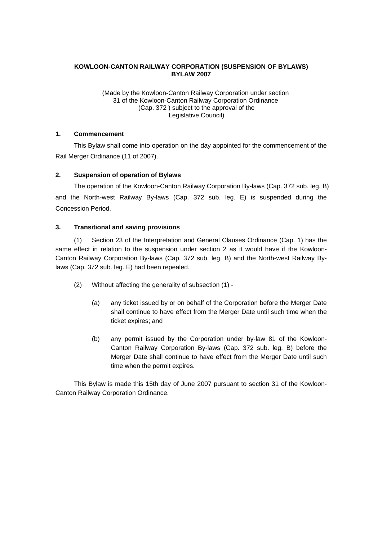## **KOWLOON-CANTON RAILWAY CORPORATION (SUSPENSION OF BYLAWS) BYLAW 2007**

(Made by the Kowloon-Canton Railway Corporation under section 31 of the Kowloon-Canton Railway Corporation Ordinance (Cap. 372 ) subject to the approval of the Legislative Council)

#### **1. Commencement**

This Bylaw shall come into operation on the day appointed for the commencement of the Rail Merger Ordinance (11 of 2007).

#### **2. Suspension of operation of Bylaws**

The operation of the Kowloon-Canton Railway Corporation By-laws (Cap. 372 sub. leg. B) and the North-west Railway By-laws (Cap. 372 sub. leg. E) is suspended during the Concession Period.

#### **3. Transitional and saving provisions**

(1) Section 23 of the Interpretation and General Clauses Ordinance (Cap. 1) has the same effect in relation to the suspension under section 2 as it would have if the Kowloon-Canton Railway Corporation By-laws (Cap. 372 sub. leg. B) and the North-west Railway Bylaws (Cap. 372 sub. leg. E) had been repealed.

- (2) Without affecting the generality of subsection (1)
	- (a) any ticket issued by or on behalf of the Corporation before the Merger Date shall continue to have effect from the Merger Date until such time when the ticket expires; and
	- (b) any permit issued by the Corporation under by-law 81 of the Kowloon-Canton Railway Corporation By-laws (Cap. 372 sub. leg. B) before the Merger Date shall continue to have effect from the Merger Date until such time when the permit expires.

This Bylaw is made this 15th day of June 2007 pursuant to section 31 of the Kowloon-Canton Railway Corporation Ordinance.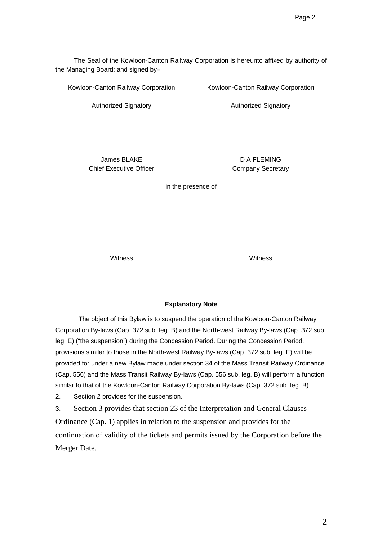The Seal of the Kowloon-Canton Railway Corporation is hereunto affixed by authority of the Managing Board; and signed by–

Kowloon-Canton Railway Corporation

Kowloon-Canton Railway Corporation

Authorized Signatory

Authorized Signatory

James BLAKE Chief Executive Officer

D A FLEMING Company Secretary

in the presence of

Witness Witness

#### **Explanatory Note**

The object of this Bylaw is to suspend the operation of the Kowloon-Canton Railway Corporation By-laws (Cap. 372 sub. leg. B) and the North-west Railway By-laws (Cap. 372 sub. leg. E) ("the suspension") during the Concession Period. During the Concession Period, provisions similar to those in the North-west Railway By-laws (Cap. 372 sub. leg. E) will be provided for under a new Bylaw made under section 34 of the Mass Transit Railway Ordinance (Cap. 556) and the Mass Transit Railway By-laws (Cap. 556 sub. leg. B) will perform a function similar to that of the Kowloon-Canton Railway Corporation By-laws (Cap. 372 sub. leg. B) .

2. Section 2 provides for the suspension.

3. Section 3 provides that section 23 of the Interpretation and General Clauses Ordinance (Cap. 1) applies in relation to the suspension and provides for the continuation of validity of the tickets and permits issued by the Corporation before the Merger Date.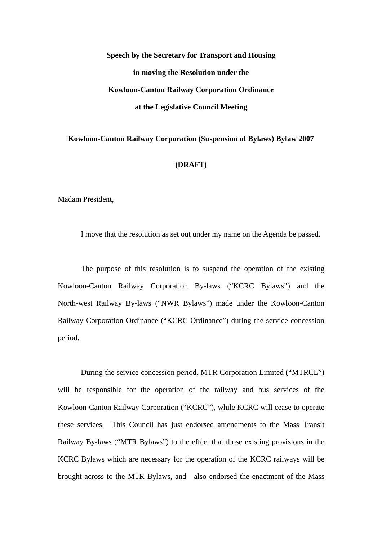# **Speech by the Secretary for Transport and Housing in moving the Resolution under the Kowloon-Canton Railway Corporation Ordinance at the Legislative Council Meeting**

# **Kowloon-Canton Railway Corporation (Suspension of Bylaws) Bylaw 2007**

## **(DRAFT)**

Madam President,

I move that the resolution as set out under my name on the Agenda be passed.

The purpose of this resolution is to suspend the operation of the existing Kowloon-Canton Railway Corporation By-laws ("KCRC Bylaws") and the North-west Railway By-laws ("NWR Bylaws") made under the Kowloon-Canton Railway Corporation Ordinance ("KCRC Ordinance") during the service concession period.

During the service concession period, MTR Corporation Limited ("MTRCL") will be responsible for the operation of the railway and bus services of the Kowloon-Canton Railway Corporation ("KCRC"), while KCRC will cease to operate these services. This Council has just endorsed amendments to the Mass Transit Railway By-laws ("MTR Bylaws") to the effect that those existing provisions in the KCRC Bylaws which are necessary for the operation of the KCRC railways will be brought across to the MTR Bylaws, and also endorsed the enactment of the Mass